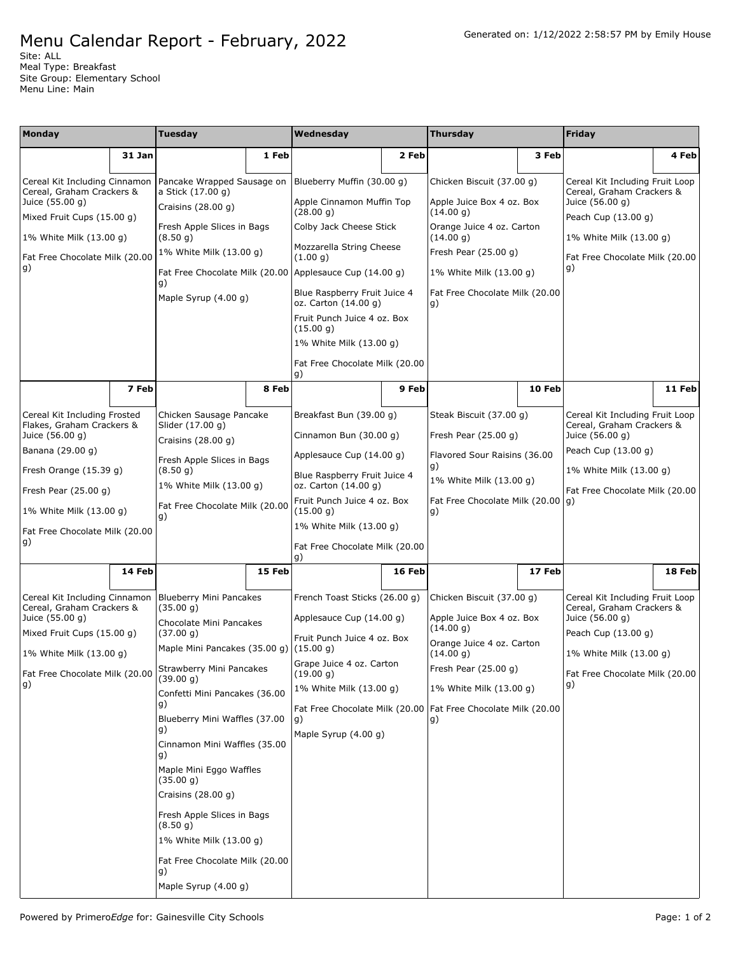Site: ALL Meal Type: Breakfast Site Group: Elementary School Menu Line: Main

| Monday                                                     |        | <b>Tuesday</b>                                         |                                                      | Wednesday                                               |                         | <b>Thursday</b>                                                 |                                | Friday                                                       |        |
|------------------------------------------------------------|--------|--------------------------------------------------------|------------------------------------------------------|---------------------------------------------------------|-------------------------|-----------------------------------------------------------------|--------------------------------|--------------------------------------------------------------|--------|
|                                                            | 31 Jan |                                                        | 1 Feb                                                |                                                         | 2 Feb                   |                                                                 | 3 Feb                          |                                                              | 4 Feb  |
|                                                            |        |                                                        |                                                      |                                                         |                         |                                                                 |                                |                                                              |        |
| Cereal Kit Including Cinnamon<br>Cereal, Graham Crackers & |        | Pancake Wrapped Sausage on<br>a Stick (17.00 g)        |                                                      | Blueberry Muffin (30.00 g)                              |                         | Chicken Biscuit (37.00 g)                                       |                                | Cereal Kit Including Fruit Loop<br>Cereal, Graham Crackers & |        |
| Juice (55.00 g)<br>Mixed Fruit Cups (15.00 g)              |        | Craisins $(28.00 g)$                                   |                                                      | Apple Cinnamon Muffin Top<br>(28.00 g)                  |                         | Apple Juice Box 4 oz. Box<br>(14.00 g)                          |                                | Juice (56.00 g)<br>Peach Cup (13.00 g)                       |        |
| 1% White Milk (13.00 g)                                    |        | Fresh Apple Slices in Bags<br>(8.50 g)                 |                                                      | Colby Jack Cheese Stick                                 |                         | Orange Juice 4 oz. Carton<br>(14.00 g)                          |                                | 1% White Milk (13.00 g)                                      |        |
| Fat Free Chocolate Milk (20.00                             |        | 1% White Milk (13.00 g)                                |                                                      | Mozzarella String Cheese<br>(1.00 g)                    |                         | Fresh Pear $(25.00 g)$                                          |                                |                                                              |        |
| g)                                                         |        |                                                        |                                                      | Fat Free Chocolate Milk (20.00 Applesauce Cup (14.00 g) |                         | 1% White Milk (13.00 g)                                         |                                | Fat Free Chocolate Milk (20.00<br>g)                         |        |
|                                                            |        | g)                                                     |                                                      | Blue Raspberry Fruit Juice 4                            |                         | Fat Free Chocolate Milk (20.00                                  |                                |                                                              |        |
|                                                            |        | Maple Syrup (4.00 g)                                   |                                                      | oz. Carton (14.00 g)                                    |                         | g)                                                              |                                |                                                              |        |
|                                                            |        |                                                        |                                                      | Fruit Punch Juice 4 oz. Box<br>(15.00 g)                |                         |                                                                 |                                |                                                              |        |
|                                                            |        |                                                        |                                                      | 1% White Milk (13.00 g)                                 |                         |                                                                 |                                |                                                              |        |
|                                                            |        |                                                        |                                                      | Fat Free Chocolate Milk (20.00<br>g)                    |                         |                                                                 |                                |                                                              |        |
|                                                            | 7 Feb  |                                                        | 8 Feb                                                |                                                         | 9 Feb                   |                                                                 | 10 Feb                         |                                                              | 11 Feb |
| Cereal Kit Including Frosted                               |        | Chicken Sausage Pancake                                |                                                      | Breakfast Bun (39.00 g)                                 |                         | Steak Biscuit (37.00 g)                                         |                                | Cereal Kit Including Fruit Loop                              |        |
| Flakes, Graham Crackers &<br>Juice (56.00 g)               |        | Slider (17.00 g)                                       |                                                      | Cinnamon Bun $(30.00 g)$                                |                         | Fresh Pear $(25.00 g)$                                          |                                | Cereal, Graham Crackers &<br>Juice (56.00 g)                 |        |
| Banana (29.00 g)                                           |        | Craisins $(28.00 g)$                                   |                                                      | Applesauce Cup (14.00 g)                                |                         |                                                                 |                                | Peach Cup (13.00 g)                                          |        |
| Fresh Orange (15.39 g)                                     |        | Fresh Apple Slices in Bags<br>(8.50 g)                 |                                                      |                                                         |                         | Flavored Sour Raisins (36.00<br>g)                              |                                | 1% White Milk (13.00 g)                                      |        |
| 1% White Milk (13.00 g)<br>Fresh Pear $(25.00 g)$          |        |                                                        | Blue Raspberry Fruit Juice 4<br>oz. Carton (14.00 g) |                                                         | 1% White Milk (13.00 g) |                                                                 | Fat Free Chocolate Milk (20.00 |                                                              |        |
| 1% White Milk (13.00 g)                                    |        | Fat Free Chocolate Milk (20.00                         |                                                      | Fruit Punch Juice 4 oz. Box<br>(15.00 g)                |                         | Fat Free Chocolate Milk (20.00   g)<br>g)                       |                                |                                                              |        |
| Fat Free Chocolate Milk (20.00                             |        | g)                                                     |                                                      | 1% White Milk (13.00 g)                                 |                         |                                                                 |                                |                                                              |        |
| g)                                                         |        |                                                        |                                                      | Fat Free Chocolate Milk (20.00                          |                         |                                                                 |                                |                                                              |        |
|                                                            | 14 Feb |                                                        | 15 Feb                                               | g)                                                      | 16 Feb                  |                                                                 | 17 Feb                         |                                                              | 18 Feb |
|                                                            |        |                                                        |                                                      |                                                         |                         |                                                                 |                                |                                                              |        |
| Cereal Kit Including Cinnamon<br>Cereal, Graham Crackers & |        | <b>Blueberry Mini Pancakes</b><br>(35.00 g)            |                                                      | French Toast Sticks (26.00 g)                           |                         | Chicken Biscuit (37.00 g)                                       |                                | Cereal Kit Including Fruit Loop<br>Cereal, Graham Crackers & |        |
| Juice (55.00 g)                                            |        | Chocolate Mini Pancakes                                |                                                      | Applesauce Cup (14.00 g)                                |                         | Apple Juice Box 4 oz. Box<br>(14.00 g)                          |                                | Juice (56.00 g)                                              |        |
| Mixed Fruit Cups (15.00 g)                                 |        | (37.00 g)<br>Maple Mini Pancakes (35.00 g)   (15.00 g) |                                                      | Fruit Punch Juice 4 oz. Box                             |                         | Orange Juice 4 oz. Carton                                       |                                | Peach Cup (13.00 g)                                          |        |
| 1% White Milk (13.00 g)                                    |        | Strawberry Mini Pancakes                               |                                                      | Grape Juice 4 oz. Carton                                |                         | (14.00 g)<br>Fresh Pear (25.00 g)                               |                                | 1% White Milk (13.00 g)                                      |        |
| Fat Free Chocolate Milk (20.00<br>g)                       |        | (39.00 g)                                              |                                                      | (19.00 g)<br>1% White Milk (13.00 g)                    |                         | 1% White Milk (13.00 g)                                         |                                | Fat Free Chocolate Milk (20.00<br>g)                         |        |
|                                                            |        | Confetti Mini Pancakes (36.00<br>g)                    |                                                      |                                                         |                         | Fat Free Chocolate Milk (20.00   Fat Free Chocolate Milk (20.00 |                                |                                                              |        |
|                                                            |        | Blueberry Mini Waffles (37.00                          |                                                      | g)                                                      |                         | g)                                                              |                                |                                                              |        |
|                                                            |        | g)<br>Cinnamon Mini Waffles (35.00                     |                                                      | Maple Syrup (4.00 g)                                    |                         |                                                                 |                                |                                                              |        |
|                                                            |        | g)                                                     |                                                      |                                                         |                         |                                                                 |                                |                                                              |        |
|                                                            |        | Maple Mini Eggo Waffles<br>(35.00 g)                   |                                                      |                                                         |                         |                                                                 |                                |                                                              |        |
|                                                            |        | Craisins $(28.00 g)$                                   |                                                      |                                                         |                         |                                                                 |                                |                                                              |        |
|                                                            |        | Fresh Apple Slices in Bags<br>(8.50 g)                 |                                                      |                                                         |                         |                                                                 |                                |                                                              |        |
|                                                            |        | 1% White Milk (13.00 g)                                |                                                      |                                                         |                         |                                                                 |                                |                                                              |        |
|                                                            |        | Fat Free Chocolate Milk (20.00<br>g)                   |                                                      |                                                         |                         |                                                                 |                                |                                                              |        |
|                                                            |        | Maple Syrup (4.00 g)                                   |                                                      |                                                         |                         |                                                                 |                                |                                                              |        |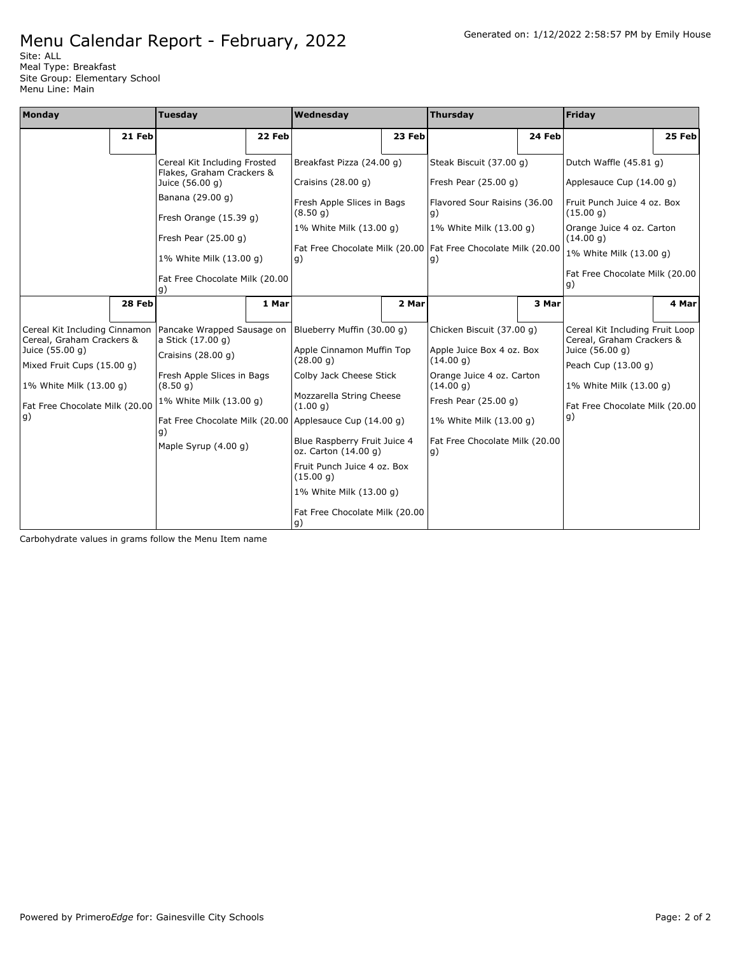Site: ALL Meal Type: Breakfast Site Group: Elementary School Menu Line: Main

| Monday                                                                        |                                                | <b>Tuesday</b>                                            |        | Wednesday                                                                          |        | <b>Thursday</b>                                               |        | Friday                                                                          |        |
|-------------------------------------------------------------------------------|------------------------------------------------|-----------------------------------------------------------|--------|------------------------------------------------------------------------------------|--------|---------------------------------------------------------------|--------|---------------------------------------------------------------------------------|--------|
|                                                                               | 21 Feb                                         |                                                           | 22 Feb |                                                                                    | 23 Feb |                                                               | 24 Feb |                                                                                 | 25 Feb |
|                                                                               |                                                | Cereal Kit Including Frosted<br>Flakes, Graham Crackers & |        | Breakfast Pizza (24.00 q)                                                          |        | Steak Biscuit (37.00 q)                                       |        | Dutch Waffle (45.81 q)                                                          |        |
|                                                                               |                                                | Juice (56.00 g)                                           |        | Craisins $(28.00 g)$                                                               |        | Fresh Pear (25.00 g)                                          |        | Applesauce Cup (14.00 g)                                                        |        |
|                                                                               |                                                | Banana (29.00 g)                                          |        | Fresh Apple Slices in Bags<br>(8.50 g)                                             |        | Flavored Sour Raisins (36.00<br>g)                            |        | Fruit Punch Juice 4 oz. Box<br>(15.00 q)                                        |        |
|                                                                               |                                                | Fresh Orange (15.39 g)                                    |        | 1% White Milk (13.00 g)                                                            |        | 1% White Milk (13.00 g)                                       |        | Orange Juice 4 oz. Carton                                                       |        |
|                                                                               |                                                | Fresh Pear $(25.00 g)$                                    |        |                                                                                    |        | Fat Free Chocolate Milk (20.00 Fat Free Chocolate Milk (20.00 |        | (14.00 g)                                                                       |        |
|                                                                               |                                                | 1% White Milk (13.00 g)                                   |        | q)                                                                                 |        | g)                                                            |        | 1% White Milk (13.00 g)                                                         |        |
|                                                                               | Fat Free Chocolate Milk (20.00<br>q)<br>28 Feb |                                                           |        |                                                                                    |        |                                                               |        | Fat Free Chocolate Milk (20.00<br> g)                                           |        |
|                                                                               |                                                |                                                           | 1 Mar  |                                                                                    | 2 Mar  |                                                               | 3 Mar  |                                                                                 | 4 Mar  |
| Cereal Kit Including Cinnamon<br>Cereal, Graham Crackers &<br>Juice (55.00 g) |                                                | a Stick (17.00 g)                                         |        | Pancake Wrapped Sausage on Blueberry Muffin (30.00 g)<br>Apple Cinnamon Muffin Top |        | Chicken Biscuit (37.00 q)<br>Apple Juice Box 4 oz. Box        |        | Cereal Kit Including Fruit Loop<br>Cereal, Graham Crackers &<br>Juice (56.00 q) |        |
| Mixed Fruit Cups (15.00 q)                                                    |                                                | Craisins $(28.00 q)$                                      |        | (28.00 g)                                                                          |        | (14.00 g)                                                     |        | Peach Cup (13.00 g)                                                             |        |
| 1% White Milk (13.00 g)                                                       |                                                | Fresh Apple Slices in Bags<br>(8.50 g)                    |        | Colby Jack Cheese Stick                                                            |        | Orange Juice 4 oz. Carton<br>(14.00 g)                        |        | 1% White Milk (13.00 g)                                                         |        |
| Fat Free Chocolate Milk (20.00                                                |                                                | 1% White Milk (13.00 g)                                   |        | Mozzarella String Cheese<br>(1.00 q)                                               |        | Fresh Pear (25.00 g)                                          |        | Fat Free Chocolate Milk (20.00                                                  |        |
| g)                                                                            |                                                | g)                                                        |        | Fat Free Chocolate Milk (20.00 Applesauce Cup (14.00 g)                            |        | 1% White Milk (13.00 q)                                       |        | $\vert g)$                                                                      |        |
|                                                                               |                                                | Maple Syrup (4.00 g)                                      |        | Blue Raspberry Fruit Juice 4<br>oz. Carton (14.00 g)                               |        | Fat Free Chocolate Milk (20.00<br>g)                          |        |                                                                                 |        |
|                                                                               |                                                |                                                           |        | Fruit Punch Juice 4 oz. Box<br>(15.00 g)                                           |        |                                                               |        |                                                                                 |        |
|                                                                               |                                                |                                                           |        | 1% White Milk (13.00 q)                                                            |        |                                                               |        |                                                                                 |        |
|                                                                               |                                                |                                                           |        | Fat Free Chocolate Milk (20.00<br> g)                                              |        |                                                               |        |                                                                                 |        |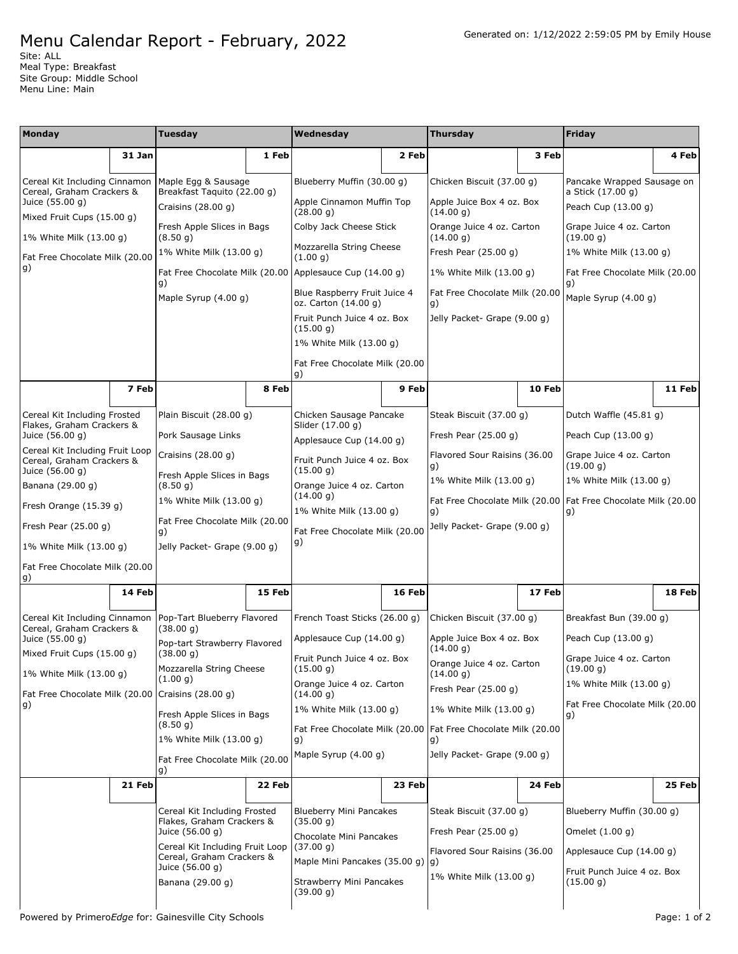Site: ALL Meal Type: Breakfast Site Group: Middle School Menu Line: Main

| Monday                                                                          |        | <b>Tuesday</b>                                               |        | Wednesday                                            |        | <b>Thursday</b>                                                       |        | Friday                                                                |        |
|---------------------------------------------------------------------------------|--------|--------------------------------------------------------------|--------|------------------------------------------------------|--------|-----------------------------------------------------------------------|--------|-----------------------------------------------------------------------|--------|
|                                                                                 | 31 Jan |                                                              | 1 Feb  |                                                      | 2 Feb  |                                                                       | 3 Feb  |                                                                       | 4 Feb  |
| Cereal Kit Including Cinnamon                                                   |        | Maple Egg & Sausage                                          |        | Blueberry Muffin (30.00 g)                           |        | Chicken Biscuit (37.00 g)                                             |        | Pancake Wrapped Sausage on                                            |        |
| Cereal, Graham Crackers &<br>Juice (55.00 g)                                    |        | Breakfast Taquito (22.00 g)<br>Craisins (28.00 g)            |        | Apple Cinnamon Muffin Top<br>(28.00 q)               |        | Apple Juice Box 4 oz. Box<br>(14.00 g)                                |        | a Stick (17.00 g)<br>Peach Cup (13.00 g)                              |        |
| Mixed Fruit Cups (15.00 g)<br>1% White Milk (13.00 g)                           |        | Fresh Apple Slices in Bags<br>(8.50 g)                       |        | Colby Jack Cheese Stick                              |        | Orange Juice 4 oz. Carton<br>(14.00 g)                                |        | Grape Juice 4 oz. Carton<br>(19.00 g)                                 |        |
| Fat Free Chocolate Milk (20.00                                                  |        | 1% White Milk (13.00 g)                                      |        | Mozzarella String Cheese<br>(1.00 g)                 |        | Fresh Pear (25.00 g)                                                  |        | 1% White Milk (13.00 g)                                               |        |
| g)                                                                              |        | Fat Free Chocolate Milk (20.00)<br>g)                        |        | Applesauce Cup (14.00 g)                             |        | 1% White Milk (13.00 g)                                               |        | Fat Free Chocolate Milk (20.00<br>g)                                  |        |
|                                                                                 |        | Maple Syrup $(4.00 g)$                                       |        | Blue Raspberry Fruit Juice 4<br>oz. Carton (14.00 g) |        | Fat Free Chocolate Milk (20.00<br>g)                                  |        | Maple Syrup (4.00 g)                                                  |        |
|                                                                                 |        |                                                              |        | Fruit Punch Juice 4 oz. Box<br>(15.00 g)             |        | Jelly Packet- Grape (9.00 g)                                          |        |                                                                       |        |
|                                                                                 |        |                                                              |        | 1% White Milk (13.00 g)                              |        |                                                                       |        |                                                                       |        |
|                                                                                 |        |                                                              |        | Fat Free Chocolate Milk (20.00<br>g)                 |        |                                                                       |        |                                                                       |        |
|                                                                                 | 7 Feb  |                                                              | 8 Feb  |                                                      | 9 Feb  |                                                                       | 10 Feb |                                                                       | 11 Feb |
| Cereal Kit Including Frosted<br>Flakes, Graham Crackers &                       |        | Plain Biscuit (28.00 q)                                      |        | Chicken Sausage Pancake<br>Slider (17.00 g)          |        | Steak Biscuit (37.00 g)                                               |        | Dutch Waffle (45.81 g)                                                |        |
| Juice (56.00 g)                                                                 |        | Pork Sausage Links                                           |        | Applesauce Cup (14.00 g)                             |        | Fresh Pear $(25.00 g)$                                                |        | Peach Cup (13.00 g)                                                   |        |
| Cereal Kit Including Fruit Loop<br>Cereal, Graham Crackers &<br>Juice (56.00 g) |        | Craisins $(28.00 g)$                                         |        | Fruit Punch Juice 4 oz. Box<br>(15.00 q)             |        | Flavored Sour Raisins (36.00<br>g)                                    |        | Grape Juice 4 oz. Carton<br>(19.00 g)                                 |        |
| Banana (29.00 g)                                                                |        | Fresh Apple Slices in Bags<br>(8.50 g)                       |        | Orange Juice 4 oz. Carton                            |        | 1% White Milk (13.00 g)                                               |        | 1% White Milk (13.00 g)                                               |        |
| Fresh Orange (15.39 g)                                                          |        | 1% White Milk (13.00 g)                                      |        | (14.00 g)<br>1% White Milk (13.00 g)                 |        | g)                                                                    |        | Fat Free Chocolate Milk (20.00   Fat Free Chocolate Milk (20.00<br>g) |        |
| Fresh Pear $(25.00 g)$                                                          |        | Fat Free Chocolate Milk (20.00<br>g)                         |        | Fat Free Chocolate Milk (20.00                       |        | Jelly Packet- Grape (9.00 g)                                          |        |                                                                       |        |
| 1% White Milk (13.00 g)                                                         |        | Jelly Packet- Grape (9.00 g)                                 |        | g)                                                   |        |                                                                       |        |                                                                       |        |
| Fat Free Chocolate Milk (20.00<br>g)                                            |        |                                                              |        |                                                      |        |                                                                       |        |                                                                       |        |
|                                                                                 | 14 Feb |                                                              | 15 Feb |                                                      | 16 Feb |                                                                       | 17 Feb |                                                                       | 18 Feb |
| Cereal Kit Including Cinnamon<br>Cereal, Graham Crackers &                      |        | Pop-Tart Blueberry Flavored<br>(38.00 g)                     |        | French Toast Sticks (26.00 g)                        |        | Chicken Biscuit (37.00 g)                                             |        | Breakfast Bun (39.00 g)                                               |        |
| Juice (55.00 g)<br>Mixed Fruit Cups (15.00 g)                                   |        | Pop-tart Strawberry Flavored<br>(38.00 g)                    |        | Applesauce Cup (14.00 g)                             |        | Apple Juice Box 4 oz. Box<br>(14.00 g)                                |        | Peach Cup (13.00 g)                                                   |        |
| 1% White Milk (13.00 g)                                                         |        | Mozzarella String Cheese<br>(1.00 g)                         |        | Fruit Punch Juice 4 oz. Box<br>(15.00 g)             |        | Orange Juice 4 oz. Carton<br>(14.00 g)                                |        | Grape Juice 4 oz. Carton<br>(19.00 g)                                 |        |
| Fat Free Chocolate Milk (20.00   Craisins (28.00 g)                             |        |                                                              |        | Orange Juice 4 oz. Carton<br>(14.00 q)               |        | Fresh Pear (25.00 g)                                                  |        | 1% White Milk (13.00 g)                                               |        |
| g)                                                                              |        | Fresh Apple Slices in Bags<br>(8.50 g)                       |        | 1% White Milk (13.00 g)                              |        | 1% White Milk (13.00 g)                                               |        | Fat Free Chocolate Milk (20.00<br>g)                                  |        |
|                                                                                 |        | 1% White Milk (13.00 q)                                      |        | g)                                                   |        | Fat Free Chocolate Milk (20.00   Fat Free Chocolate Milk (20.00<br>g) |        |                                                                       |        |
|                                                                                 |        | Fat Free Chocolate Milk (20.00<br>g)                         |        | Maple Syrup (4.00 g)                                 |        | Jelly Packet- Grape (9.00 q)                                          |        |                                                                       |        |
|                                                                                 | 21 Feb |                                                              | 22 Feb |                                                      | 23 Feb |                                                                       | 24 Feb |                                                                       | 25 Feb |
|                                                                                 |        | Cereal Kit Including Frosted<br>Flakes, Graham Crackers &    |        | <b>Blueberry Mini Pancakes</b><br>(35.00 g)          |        | Steak Biscuit (37.00 g)                                               |        | Blueberry Muffin (30.00 q)                                            |        |
|                                                                                 |        | Juice (56.00 g)                                              |        | Chocolate Mini Pancakes                              |        | Fresh Pear $(25.00 g)$                                                |        | Omelet (1.00 g)                                                       |        |
|                                                                                 |        | Cereal Kit Including Fruit Loop<br>Cereal, Graham Crackers & |        | (37.00 g)<br>Maple Mini Pancakes (35.00 g)           |        | Flavored Sour Raisins (36.00<br> g)                                   |        | Applesauce Cup (14.00 g)                                              |        |
|                                                                                 |        | Juice (56.00 g)<br>Banana (29.00 g)                          |        | Strawberry Mini Pancakes<br>(39.00 g)                |        | 1% White Milk (13.00 g)                                               |        | Fruit Punch Juice 4 oz. Box<br>(15.00 g)                              |        |
|                                                                                 |        |                                                              |        |                                                      |        |                                                                       |        |                                                                       |        |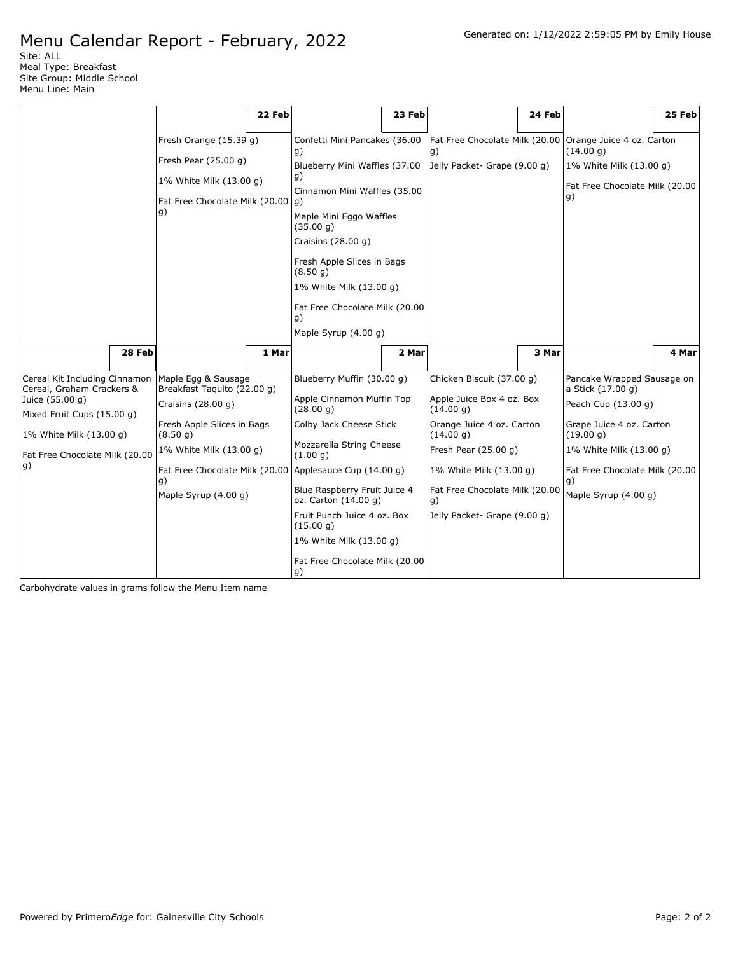Site: ALL Meal Type: Breakfast Site Group: Middle School Menu Line: Main

|                                                            |        |                                                    | 22 Feb |                                                           | 23 Feb |                                        | 24 Feb |                                                 | 25 Feb |
|------------------------------------------------------------|--------|----------------------------------------------------|--------|-----------------------------------------------------------|--------|----------------------------------------|--------|-------------------------------------------------|--------|
|                                                            |        | Fresh Orange (15.39 g)                             |        | Confetti Mini Pancakes (36.00<br>g)                       |        | Fat Free Chocolate Milk (20.00<br>g)   |        | Orange Juice 4 oz. Carton<br>(14.00 g)          |        |
|                                                            |        | Fresh Pear $(25.00 g)$<br>1% White Milk (13.00 g)  |        | Blueberry Mini Waffles (37.00<br>g)                       |        | Jelly Packet- Grape (9.00 g)           |        | 1% White Milk (13.00 g)                         |        |
|                                                            |        | Fat Free Chocolate Milk (20.00                     |        | Cinnamon Mini Waffles (35.00<br>$ q\rangle$               |        |                                        |        | Fat Free Chocolate Milk (20.00<br>g)            |        |
|                                                            |        | g)                                                 |        | Maple Mini Eggo Waffles<br>(35.00 g)                      |        |                                        |        |                                                 |        |
|                                                            |        |                                                    |        | Craisins (28.00 g)                                        |        |                                        |        |                                                 |        |
|                                                            |        |                                                    |        | Fresh Apple Slices in Bags<br>(8.50q)                     |        |                                        |        |                                                 |        |
|                                                            |        |                                                    |        | 1% White Milk (13.00 g)<br>Fat Free Chocolate Milk (20.00 |        |                                        |        |                                                 |        |
|                                                            |        |                                                    |        | g)<br>Maple Syrup (4.00 g)                                |        |                                        |        |                                                 |        |
|                                                            |        |                                                    |        |                                                           |        |                                        |        |                                                 |        |
|                                                            | 28 Feb |                                                    | 1 Mar  |                                                           | 2 Mar  |                                        | 3 Mar  |                                                 | 4 Mar  |
| Cereal Kit Including Cinnamon<br>Cereal, Graham Crackers & |        | Maple Egg & Sausage<br>Breakfast Taquito (22.00 g) |        | Blueberry Muffin (30.00 g)                                |        | Chicken Biscuit (37.00 g)              |        | Pancake Wrapped Sausage on<br>a Stick (17.00 g) |        |
| Juice (55.00 g)<br>Mixed Fruit Cups (15.00 g)              |        | Craisins $(28.00 g)$                               |        | Apple Cinnamon Muffin Top<br>(28.00 g)                    |        | Apple Juice Box 4 oz. Box<br>(14.00 g) |        | Peach Cup (13.00 g)                             |        |
| 1% White Milk (13.00 g)                                    |        | Fresh Apple Slices in Bags<br>(8.50 g)             |        | Colby Jack Cheese Stick                                   |        | Orange Juice 4 oz. Carton<br>(14.00 g) |        | Grape Juice 4 oz. Carton<br>(19.00 g)           |        |
| Fat Free Chocolate Milk (20.00                             |        | 1% White Milk (13.00 g)                            |        | Mozzarella String Cheese<br>(1.00 g)                      |        | Fresh Pear (25.00 g)                   |        | 1% White Milk (13.00 g)                         |        |
| g)                                                         |        | g)                                                 |        | Fat Free Chocolate Milk (20.00 Applesauce Cup (14.00 g)   |        | 1% White Milk (13.00 g)                |        | Fat Free Chocolate Milk (20.00<br>g)            |        |
|                                                            |        | Maple Syrup (4.00 g)                               |        | Blue Raspberry Fruit Juice 4<br>oz. Carton (14.00 g)      |        | Fat Free Chocolate Milk (20.00<br>g)   |        | Maple Syrup (4.00 g)                            |        |
|                                                            |        |                                                    |        | Fruit Punch Juice 4 oz. Box<br>(15.00 g)                  |        | Jelly Packet- Grape (9.00 g)           |        |                                                 |        |
|                                                            |        |                                                    |        | 1% White Milk (13.00 g)                                   |        |                                        |        |                                                 |        |
|                                                            |        |                                                    |        | Fat Free Chocolate Milk (20.00<br> g)                     |        |                                        |        |                                                 |        |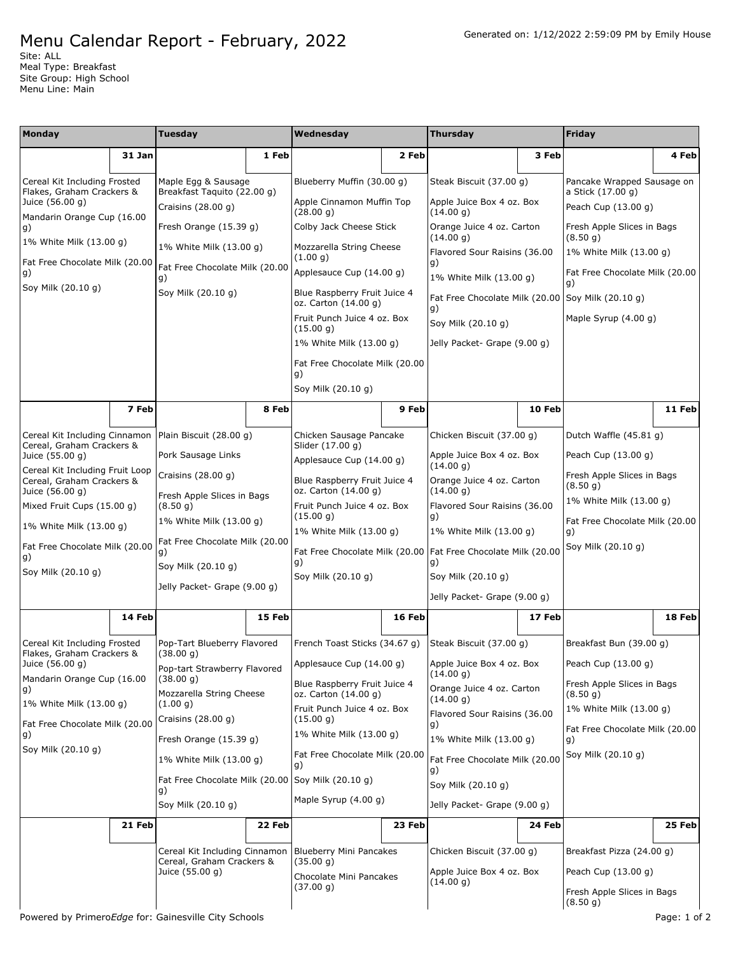Site: ALL Meal Type: Breakfast Site Group: High School Menu Line: Main

| <b>Monday</b>                                              |                                                                                                       | <b>Tuesday</b>                                      |                                                      | Wednesday                                            |                                        | <b>Thursday</b>                                                 |                                        | <b>Friday</b>                            |        |
|------------------------------------------------------------|-------------------------------------------------------------------------------------------------------|-----------------------------------------------------|------------------------------------------------------|------------------------------------------------------|----------------------------------------|-----------------------------------------------------------------|----------------------------------------|------------------------------------------|--------|
|                                                            | 31 Jan                                                                                                |                                                     | 1 Feb                                                |                                                      | 2 Feb                                  |                                                                 | 3 Feb                                  |                                          | 4 Feb  |
| Cereal Kit Including Frosted                               |                                                                                                       | Maple Egg & Sausage                                 |                                                      | Blueberry Muffin (30.00 g)                           |                                        | Steak Biscuit (37.00 g)                                         |                                        | Pancake Wrapped Sausage on               |        |
| Flakes, Graham Crackers &<br>Juice (56.00 g)               |                                                                                                       | Breakfast Taquito (22.00 g)<br>Craisins $(28.00 g)$ |                                                      | Apple Cinnamon Muffin Top<br>(28.00 g)               |                                        | Apple Juice Box 4 oz. Box<br>(14.00 g)                          |                                        | a Stick (17.00 g)<br>Peach Cup (13.00 g) |        |
| Mandarin Orange Cup (16.00<br>g)                           |                                                                                                       | Fresh Orange (15.39 g)                              |                                                      | Colby Jack Cheese Stick                              |                                        | Orange Juice 4 oz. Carton                                       |                                        | Fresh Apple Slices in Bags               |        |
| 1% White Milk (13.00 g)                                    |                                                                                                       | 1% White Milk (13.00 g)                             |                                                      | Mozzarella String Cheese<br>(1.00 g)                 |                                        | (14.00 g)<br>Flavored Sour Raisins (36.00                       |                                        | (8.50 g)<br>1% White Milk (13.00 g)      |        |
| Fat Free Chocolate Milk (20.00<br>g)                       |                                                                                                       | Fat Free Chocolate Milk (20.00<br>g)                |                                                      | Applesauce Cup (14.00 g)                             |                                        | g)<br>1% White Milk (13.00 g)                                   |                                        | Fat Free Chocolate Milk (20.00           |        |
| Soy Milk (20.10 g)                                         |                                                                                                       | Soy Milk (20.10 g)                                  |                                                      | Blue Raspberry Fruit Juice 4<br>oz. Carton (14.00 g) |                                        | Fat Free Chocolate Milk (20.00 Soy Milk (20.10 g)               |                                        | g)                                       |        |
|                                                            |                                                                                                       |                                                     |                                                      | Fruit Punch Juice 4 oz. Box<br>(15.00 g)             |                                        | g)<br>Soy Milk (20.10 g)                                        |                                        | Maple Syrup (4.00 g)                     |        |
|                                                            |                                                                                                       |                                                     |                                                      | 1% White Milk (13.00 g)                              |                                        | Jelly Packet- Grape (9.00 g)                                    |                                        |                                          |        |
|                                                            |                                                                                                       |                                                     |                                                      | Fat Free Chocolate Milk (20.00<br>g)                 |                                        |                                                                 |                                        |                                          |        |
|                                                            |                                                                                                       |                                                     |                                                      | Soy Milk (20.10 g)                                   |                                        |                                                                 |                                        |                                          |        |
|                                                            | 7 Feb                                                                                                 |                                                     | 8 Feb                                                |                                                      | 9 Feb                                  |                                                                 | 10 Feb                                 |                                          | 11 Feb |
| Cereal Kit Including Cinnamon<br>Cereal, Graham Crackers & |                                                                                                       | Plain Biscuit (28.00 g)                             |                                                      | Chicken Sausage Pancake<br>Slider (17.00 g)          |                                        | Chicken Biscuit (37.00 q)                                       |                                        | Dutch Waffle (45.81 g)                   |        |
| Juice (55.00 g)                                            | Pork Sausage Links                                                                                    |                                                     |                                                      | Applesauce Cup (14.00 q)                             |                                        | Apple Juice Box 4 oz. Box<br>(14.00 g)                          |                                        | Peach Cup (13.00 g)                      |        |
|                                                            | Cereal Kit Including Fruit Loop<br>Craisins (28.00 g)<br>Cereal, Graham Crackers &<br>Juice (56.00 g) |                                                     | Blue Raspberry Fruit Juice 4<br>oz. Carton (14.00 g) |                                                      | Orange Juice 4 oz. Carton<br>(14.00 g) |                                                                 | Fresh Apple Slices in Bags<br>(8.50 g) |                                          |        |
| Mixed Fruit Cups (15.00 g)                                 |                                                                                                       | Fresh Apple Slices in Bags<br>(8.50 g)              |                                                      | Fruit Punch Juice 4 oz. Box<br>(15.00 g)             |                                        | Flavored Sour Raisins (36.00                                    |                                        | 1% White Milk (13.00 g)                  |        |
| 1% White Milk (13.00 g)                                    |                                                                                                       | 1% White Milk (13.00 g)                             |                                                      | 1% White Milk (13.00 g)                              |                                        | g)<br>1% White Milk (13.00 g)                                   |                                        | Fat Free Chocolate Milk (20.00<br>g)     |        |
| Fat Free Chocolate Milk (20.00<br>g)                       |                                                                                                       | Fat Free Chocolate Milk (20.00<br>g)                |                                                      |                                                      |                                        | Fat Free Chocolate Milk (20.00   Fat Free Chocolate Milk (20.00 |                                        | Soy Milk (20.10 g)                       |        |
| Soy Milk (20.10 g)                                         |                                                                                                       | Soy Milk (20.10 g)                                  |                                                      | g)<br>Soy Milk (20.10 g)                             |                                        | g)<br>Soy Milk (20.10 g)                                        |                                        |                                          |        |
|                                                            |                                                                                                       | Jelly Packet- Grape (9.00 g)                        |                                                      |                                                      |                                        | Jelly Packet- Grape (9.00 g)                                    |                                        |                                          |        |
|                                                            | 14 Feb                                                                                                |                                                     | 15 Feb                                               |                                                      | 16 Feb                                 |                                                                 | 17 Feb                                 |                                          | 18 Feb |
| Cereal Kit Including Frosted<br>Flakes, Graham Crackers &  |                                                                                                       | Pop-Tart Blueberry Flavored<br>(38.00 g)            |                                                      | French Toast Sticks (34.67 q)                        |                                        | Steak Biscuit (37.00 g)                                         |                                        | Breakfast Bun (39.00 g)                  |        |
| Juice (56.00 g)                                            |                                                                                                       | Pop-tart Strawberry Flavored                        |                                                      | Applesauce Cup (14.00 g)                             |                                        | Apple Juice Box 4 oz. Box<br>(14.00 g)                          |                                        | Peach Cup (13.00 g)                      |        |
| Mandarin Orange Cup (16.00<br>g)                           |                                                                                                       | (38.00 g)<br>Mozzarella String Cheese               |                                                      | Blue Raspberry Fruit Juice 4<br>oz. Carton (14.00 g) |                                        | Orange Juice 4 oz. Carton<br>(14.00 g)                          |                                        | Fresh Apple Slices in Bags<br>(8.50 g)   |        |
| 1% White Milk (13.00 g)                                    |                                                                                                       | (1.00 g)<br>Craisins (28.00 g)                      |                                                      | Fruit Punch Juice 4 oz. Box<br>(15.00 g)             |                                        | Flavored Sour Raisins (36.00                                    |                                        | 1% White Milk (13.00 g)                  |        |
| Fat Free Chocolate Milk (20.00<br>g)                       |                                                                                                       | Fresh Orange (15.39 g)                              |                                                      | 1% White Milk (13.00 g)                              |                                        | g)<br>1% White Milk (13.00 g)                                   |                                        | Fat Free Chocolate Milk (20.00<br>g)     |        |
| Soy Milk (20.10 g)                                         |                                                                                                       | 1% White Milk (13.00 g)                             |                                                      | Fat Free Chocolate Milk (20.00<br>g)                 |                                        | Fat Free Chocolate Milk (20.00                                  |                                        | Soy Milk (20.10 g)                       |        |
|                                                            |                                                                                                       | Fat Free Chocolate Milk (20.00 Soy Milk (20.10 g)   |                                                      |                                                      |                                        | g)<br>Soy Milk (20.10 g)                                        |                                        |                                          |        |
|                                                            |                                                                                                       | g)<br>Soy Milk (20.10 g)                            |                                                      | Maple Syrup $(4.00 q)$                               |                                        | Jelly Packet- Grape (9.00 g)                                    |                                        |                                          |        |
|                                                            | 21 Feb                                                                                                |                                                     | 22 Feb                                               |                                                      | 23 Feb                                 |                                                                 | 24 Feb                                 |                                          | 25 Feb |
|                                                            |                                                                                                       | Cereal Kit Including Cinnamon                       |                                                      | <b>Blueberry Mini Pancakes</b>                       |                                        | Chicken Biscuit (37.00 g)                                       |                                        | Breakfast Pizza (24.00 g)                |        |
|                                                            |                                                                                                       | Cereal, Graham Crackers &<br>Juice (55.00 g)        |                                                      | (35.00 g)<br>Chocolate Mini Pancakes                 |                                        | Apple Juice Box 4 oz. Box                                       |                                        | Peach Cup (13.00 g)                      |        |
|                                                            |                                                                                                       |                                                     |                                                      | (37.00 g)                                            |                                        | (14.00 g)                                                       |                                        | Fresh Apple Slices in Bags<br>(8.50 g)   |        |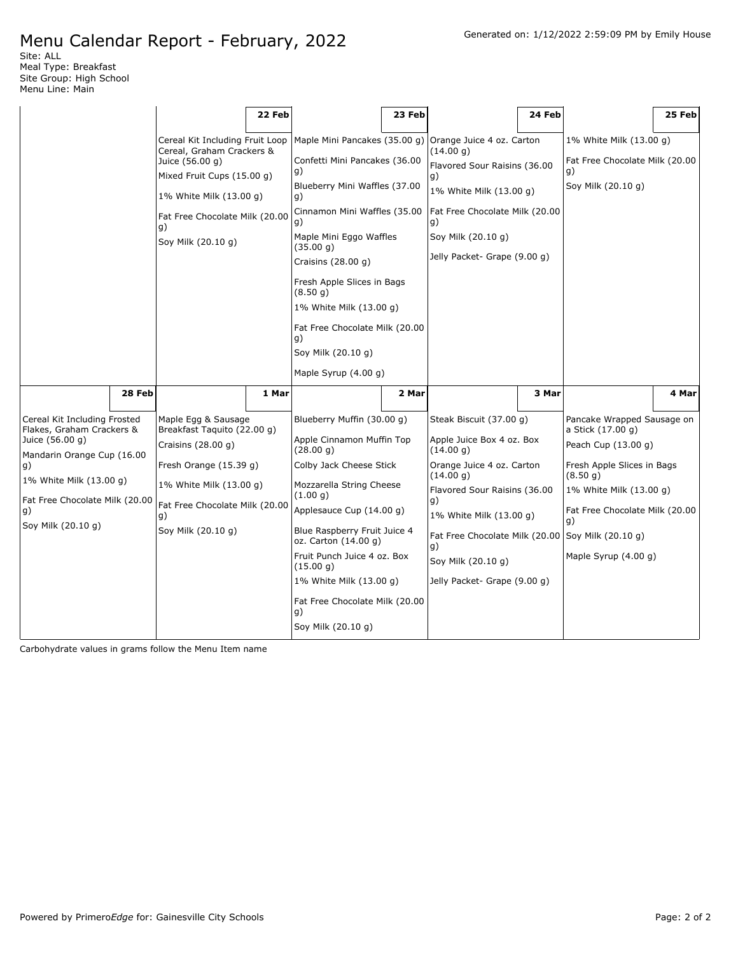Site: ALL Meal Type: Breakfast Site Group: High School Menu Line: Main

|                                                                                                                                                                                                           |                                                                                                                                                                                                        | 22 Feb |                                                                                                                                                                                                                                                                                                                                            |        |                                                                                                                                                                                                                                                                            |        |                                                                                                                                                                                                                                   |        |
|-----------------------------------------------------------------------------------------------------------------------------------------------------------------------------------------------------------|--------------------------------------------------------------------------------------------------------------------------------------------------------------------------------------------------------|--------|--------------------------------------------------------------------------------------------------------------------------------------------------------------------------------------------------------------------------------------------------------------------------------------------------------------------------------------------|--------|----------------------------------------------------------------------------------------------------------------------------------------------------------------------------------------------------------------------------------------------------------------------------|--------|-----------------------------------------------------------------------------------------------------------------------------------------------------------------------------------------------------------------------------------|--------|
|                                                                                                                                                                                                           |                                                                                                                                                                                                        |        |                                                                                                                                                                                                                                                                                                                                            |        |                                                                                                                                                                                                                                                                            |        |                                                                                                                                                                                                                                   |        |
|                                                                                                                                                                                                           | Cereal Kit Including Fruit Loop<br>Cereal, Graham Crackers &<br>Juice (56.00 g)<br>Mixed Fruit Cups (15.00 g)<br>1% White Milk (13.00 g)<br>Fat Free Chocolate Milk (20.00<br>g)<br>Soy Milk (20.10 g) |        | Maple Mini Pancakes (35.00 g)<br>Confetti Mini Pancakes (36.00<br>g)<br>Blueberry Mini Waffles (37.00<br>g)<br>Cinnamon Mini Waffles (35.00<br>g)<br>Maple Mini Eggo Waffles<br>(35.00 g)<br>Craisins $(28.00 g)$<br>Fresh Apple Slices in Bags<br>(8.50 g)<br>1% White Milk (13.00 g)<br>Fat Free Chocolate Milk (20.00<br>g)             | 23 Feb | Orange Juice 4 oz. Carton<br>(14.00 g)<br>Flavored Sour Raisins (36.00<br>g)<br>1% White Milk (13.00 q)<br>Fat Free Chocolate Milk (20.00<br>g)<br>Soy Milk (20.10 g)<br>Jelly Packet- Grape (9.00 g)                                                                      | 24 Feb | 1% White Milk (13.00 g)<br>Fat Free Chocolate Milk (20.00<br>g)<br>Soy Milk (20.10 g)                                                                                                                                             | 25 Feb |
|                                                                                                                                                                                                           |                                                                                                                                                                                                        |        | Soy Milk (20.10 g)                                                                                                                                                                                                                                                                                                                         |        |                                                                                                                                                                                                                                                                            |        |                                                                                                                                                                                                                                   |        |
|                                                                                                                                                                                                           |                                                                                                                                                                                                        |        | Maple Syrup $(4.00 g)$                                                                                                                                                                                                                                                                                                                     |        |                                                                                                                                                                                                                                                                            |        |                                                                                                                                                                                                                                   |        |
| 28 Feb                                                                                                                                                                                                    |                                                                                                                                                                                                        | 1 Mar  |                                                                                                                                                                                                                                                                                                                                            | 2 Mar  |                                                                                                                                                                                                                                                                            | 3 Mar  |                                                                                                                                                                                                                                   | 4 Mar  |
| Cereal Kit Including Frosted<br>Flakes, Graham Crackers &<br>Juice (56.00 g)<br>Mandarin Orange Cup (16.00<br>g)<br>1% White Milk (13.00 g)<br>Fat Free Chocolate Milk (20.00<br>g)<br>Soy Milk (20.10 g) | Maple Egg & Sausage<br>Breakfast Taquito (22.00 q)<br>Craisins $(28.00 g)$<br>Fresh Orange (15.39 g)<br>1% White Milk (13.00 q)<br>Fat Free Chocolate Milk (20.00<br>g)<br>Soy Milk (20.10 g)          |        | Blueberry Muffin (30.00 g)<br>Apple Cinnamon Muffin Top<br>(28.00 g)<br>Colby Jack Cheese Stick<br>Mozzarella String Cheese<br>(1.00 q)<br>Applesauce Cup (14.00 g)<br>Blue Raspberry Fruit Juice 4<br>oz. Carton (14.00 g)<br>Fruit Punch Juice 4 oz. Box<br>(15.00 g)<br>1% White Milk (13.00 g)<br>Fat Free Chocolate Milk (20.00<br>g) |        | Steak Biscuit (37.00 g)<br>Apple Juice Box 4 oz. Box<br>(14.00 g)<br>Orange Juice 4 oz. Carton<br>(14.00 g)<br>Flavored Sour Raisins (36.00<br>g)<br>1% White Milk (13.00 g)<br>Fat Free Chocolate Milk (20.00<br>g)<br>Soy Milk (20.10 g)<br>Jelly Packet- Grape (9.00 g) |        | Pancake Wrapped Sausage on<br>a Stick (17.00 g)<br>Peach Cup (13.00 g)<br>Fresh Apple Slices in Bags<br>(8.50 g)<br>1% White Milk (13.00 g)<br>Fat Free Chocolate Milk (20.00<br>q)<br>Soy Milk (20.10 g)<br>Maple Syrup (4.00 g) |        |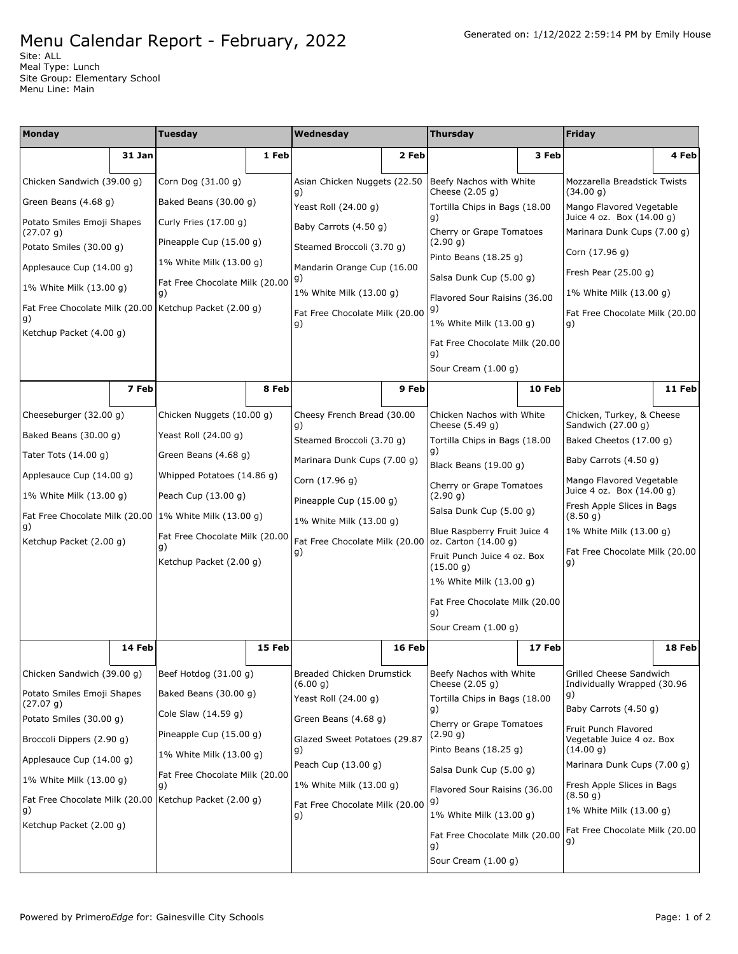Site: ALL Meal Type: Lunch Site Group: Elementary School Menu Line: Main

| Monday                                       |                                                                                 | <b>Tuesday</b>                                           |                                            | Wednesday                                          |                                                           | <b>Thursday</b>                                      |        | Friday                                                  |        |
|----------------------------------------------|---------------------------------------------------------------------------------|----------------------------------------------------------|--------------------------------------------|----------------------------------------------------|-----------------------------------------------------------|------------------------------------------------------|--------|---------------------------------------------------------|--------|
|                                              | 31 Jan                                                                          |                                                          | 1 Feb                                      |                                                    | 2 Feb                                                     |                                                      | 3 Feb  |                                                         | 4 Feb  |
| Chicken Sandwich (39.00 g)                   |                                                                                 | Corn Dog (31.00 g)                                       |                                            | Asian Chicken Nuggets (22.50<br>g)                 |                                                           | Beefy Nachos with White<br>Cheese (2.05 g)           |        | Mozzarella Breadstick Twists<br>(34.00 g)               |        |
| Green Beans (4.68 g)                         |                                                                                 | Baked Beans (30.00 g)                                    |                                            | Yeast Roll (24.00 g)                               |                                                           | Tortilla Chips in Bags (18.00                        |        | Mango Flavored Vegetable<br>Juice 4 oz. Box (14.00 g)   |        |
| Potato Smiles Emoji Shapes<br>(27.07 g)      |                                                                                 | Curly Fries (17.00 g)                                    |                                            | Baby Carrots (4.50 g)                              |                                                           | g)<br>Cherry or Grape Tomatoes                       |        | Marinara Dunk Cups (7.00 g)                             |        |
| Potato Smiles (30.00 g)                      |                                                                                 | Pineapple Cup (15.00 g)                                  |                                            | Steamed Broccoli (3.70 g)                          |                                                           | (2.90 g)                                             |        | Corn (17.96 g)                                          |        |
| Applesauce Cup (14.00 g)                     |                                                                                 | 1% White Milk (13.00 g)                                  |                                            | Mandarin Orange Cup (16.00                         |                                                           | Pinto Beans (18.25 g)                                |        | Fresh Pear $(25.00 g)$                                  |        |
| 1% White Milk (13.00 g)                      |                                                                                 | Fat Free Chocolate Milk (20.00<br>q)                     |                                            | g)<br>1% White Milk (13.00 g)                      |                                                           | Salsa Dunk Cup (5.00 g)                              |        | 1% White Milk (13.00 g)                                 |        |
| g)                                           |                                                                                 | Fat Free Chocolate Milk (20.00 Ketchup Packet (2.00 g)   | g)<br>Fat Free Chocolate Milk (20.00<br>g) |                                                    | Flavored Sour Raisins (36.00                              | Fat Free Chocolate Milk (20.00                       |        |                                                         |        |
| Ketchup Packet (4.00 g)                      |                                                                                 |                                                          |                                            |                                                    | 1% White Milk (13.00 g)<br>Fat Free Chocolate Milk (20.00 |                                                      | g)     |                                                         |        |
|                                              |                                                                                 |                                                          |                                            |                                                    |                                                           | g)                                                   |        |                                                         |        |
|                                              |                                                                                 |                                                          |                                            |                                                    |                                                           | Sour Cream (1.00 g)                                  |        |                                                         |        |
|                                              | 7 Feb                                                                           |                                                          | 8 Feb                                      |                                                    | 9 Feb                                                     |                                                      | 10 Feb |                                                         | 11 Feb |
| Cheeseburger (32.00 g)                       |                                                                                 | Chicken Nuggets (10.00 g)                                |                                            | Cheesy French Bread (30.00<br>g)                   |                                                           | Chicken Nachos with White<br>Cheese (5.49 g)         |        | Chicken, Turkey, & Cheese<br>Sandwich (27.00 g)         |        |
| Baked Beans (30.00 g)                        |                                                                                 | Yeast Roll (24.00 g)                                     |                                            | Steamed Broccoli (3.70 g)                          |                                                           | Tortilla Chips in Bags (18.00                        |        | Baked Cheetos (17.00 g)                                 |        |
| Green Beans (4.68 g)<br>Tater Tots (14.00 g) |                                                                                 | Marinara Dunk Cups (7.00 g)                              |                                            | g)<br>Black Beans (19.00 g)                        |                                                           | Baby Carrots (4.50 g)                                |        |                                                         |        |
| Applesauce Cup (14.00 g)                     |                                                                                 | Whipped Potatoes (14.86 g)                               |                                            | Corn (17.96 g)                                     |                                                           | Cherry or Grape Tomatoes                             |        | Mango Flavored Vegetable                                |        |
| 1% White Milk (13.00 g)                      |                                                                                 | Peach Cup (13.00 g)                                      |                                            | Pineapple Cup (15.00 g)<br>1% White Milk (13.00 g) |                                                           | (2.90 g)                                             |        | Juice 4 oz. Box (14.00 g)<br>Fresh Apple Slices in Bags |        |
| g)                                           |                                                                                 | Fat Free Chocolate Milk (20.00   1% White Milk (13.00 g) |                                            |                                                    |                                                           | Salsa Dunk Cup (5.00 g)                              |        | (8.50 g)                                                |        |
| Ketchup Packet (2.00 g)                      |                                                                                 | Fat Free Chocolate Milk (20.00<br>g)                     |                                            | Fat Free Chocolate Milk (20.00                     |                                                           | Blue Raspberry Fruit Juice 4<br>oz. Carton (14.00 g) |        | 1% White Milk (13.00 g)                                 |        |
|                                              |                                                                                 | Ketchup Packet (2.00 g)                                  |                                            | g)                                                 |                                                           | Fruit Punch Juice 4 oz. Box<br>(15.00 g)             |        | Fat Free Chocolate Milk (20.00<br>g)                    |        |
|                                              |                                                                                 |                                                          |                                            |                                                    |                                                           | 1% White Milk (13.00 g)                              |        |                                                         |        |
|                                              |                                                                                 |                                                          |                                            |                                                    |                                                           | Fat Free Chocolate Milk (20.00<br>g)                 |        |                                                         |        |
|                                              |                                                                                 |                                                          |                                            |                                                    |                                                           | Sour Cream $(1.00 q)$                                |        |                                                         |        |
|                                              | 14 Feb                                                                          |                                                          | 15 Feb                                     |                                                    | 16 Feb                                                    |                                                      | 17 Feb |                                                         | 18 Feb |
| Chicken Sandwich (39.00 g)                   |                                                                                 | Beef Hotdog $(31.00 g)$                                  |                                            | Breaded Chicken Drumstick<br>(6.00 g)              |                                                           | Beefy Nachos with White<br>Cheese $(2.05 g)$         |        | Grilled Cheese Sandwich<br>Individually Wrapped (30.96  |        |
| Potato Smiles Emoji Shapes<br>(27.07 g)      |                                                                                 | Baked Beans (30.00 g)                                    |                                            | Yeast Roll (24.00 g)                               |                                                           | Tortilla Chips in Bags (18.00                        |        | g)                                                      |        |
| Potato Smiles (30.00 g)                      |                                                                                 | Cole Slaw (14.59 g)                                      |                                            | Green Beans (4.68 g)                               |                                                           | g)<br>Cherry or Grape Tomatoes                       |        | Baby Carrots (4.50 g)                                   |        |
| Broccoli Dippers (2.90 g)                    |                                                                                 | Pineapple Cup (15.00 g)                                  |                                            | Glazed Sweet Potatoes (29.87                       |                                                           | (2.90 g)                                             |        | Fruit Punch Flavored<br>Vegetable Juice 4 oz. Box       |        |
| Applesauce Cup (14.00 g)                     | Pinto Beans $(18.25 g)$<br>g)<br>1% White Milk (13.00 g)<br>Peach Cup (13.00 g) |                                                          |                                            | (14.00 g)<br>Marinara Dunk Cups (7.00 g)           |                                                           |                                                      |        |                                                         |        |
| 1% White Milk (13.00 g)                      |                                                                                 | Fat Free Chocolate Milk (20.00<br>g)                     |                                            | 1% White Milk (13.00 g)                            |                                                           | Salsa Dunk Cup (5.00 g)                              |        | Fresh Apple Slices in Bags                              |        |
|                                              |                                                                                 | Fat Free Chocolate Milk (20.00 Ketchup Packet (2.00 g)   |                                            | Fat Free Chocolate Milk (20.00                     |                                                           | Flavored Sour Raisins (36.00<br>g)                   |        | (8.50 g)<br>1% White Milk (13.00 g)                     |        |
| g)<br>Ketchup Packet (2.00 g)                |                                                                                 |                                                          |                                            | g)                                                 |                                                           | 1% White Milk (13.00 g)                              |        | Fat Free Chocolate Milk (20.00                          |        |
|                                              |                                                                                 |                                                          |                                            |                                                    |                                                           | Fat Free Chocolate Milk (20.00<br>g)                 |        | g)                                                      |        |
|                                              |                                                                                 |                                                          |                                            |                                                    |                                                           | Sour Cream $(1.00 g)$                                |        |                                                         |        |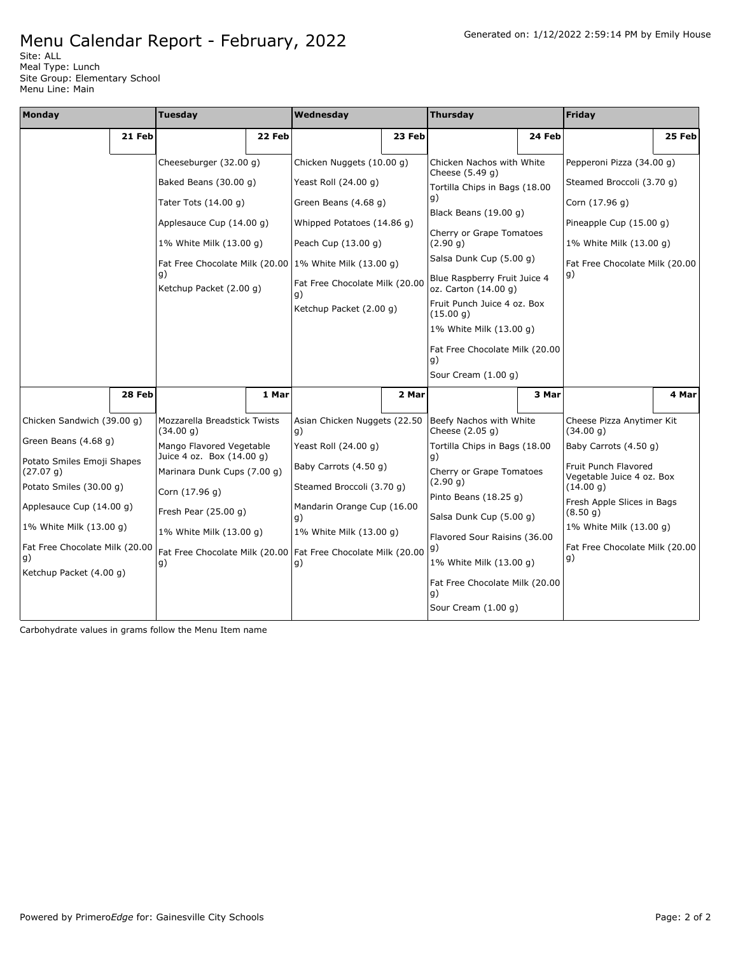Site: ALL Meal Type: Lunch Site Group: Elementary School Menu Line: Main

| Monday                                  |        | <b>Tuesday</b>                                                        |        | Wednesday                                                 |        | <b>Thursday</b>                                      |        | Friday                                            |        |
|-----------------------------------------|--------|-----------------------------------------------------------------------|--------|-----------------------------------------------------------|--------|------------------------------------------------------|--------|---------------------------------------------------|--------|
|                                         | 21 Feb |                                                                       | 22 Feb |                                                           | 23 Feb |                                                      | 24 Feb |                                                   | 25 Feb |
|                                         |        | Cheeseburger (32.00 g)                                                |        | Chicken Nuggets (10.00 g)                                 |        | Chicken Nachos with White                            |        | Pepperoni Pizza (34.00 g)                         |        |
|                                         |        | Baked Beans (30.00 g)                                                 |        | Yeast Roll (24.00 g)                                      |        | Cheese $(5.49 q)$<br>Tortilla Chips in Bags (18.00   |        | Steamed Broccoli (3.70 g)                         |        |
|                                         |        | Tater Tots (14.00 g)                                                  |        | Green Beans (4.68 g)                                      |        | g)<br>Black Beans (19.00 g)                          |        | Corn (17.96 g)                                    |        |
|                                         |        | Applesauce Cup (14.00 g)                                              |        | Whipped Potatoes (14.86 g)                                |        |                                                      |        | Pineapple Cup (15.00 g)                           |        |
|                                         |        | 1% White Milk (13.00 g)                                               |        | Peach Cup (13.00 g)                                       |        | Cherry or Grape Tomatoes<br>(2.90 g)                 |        | 1% White Milk (13.00 g)                           |        |
|                                         |        |                                                                       |        | Fat Free Chocolate Milk (20.00 $1\%$ White Milk (13.00 g) |        | Salsa Dunk Cup (5.00 g)                              |        | Fat Free Chocolate Milk (20.00                    |        |
|                                         |        | g)<br>Ketchup Packet (2.00 g)                                         |        | Fat Free Chocolate Milk (20.00<br>g)                      |        | Blue Raspberry Fruit Juice 4<br>oz. Carton (14.00 g) |        | g)                                                |        |
|                                         |        |                                                                       |        | Ketchup Packet (2.00 g)                                   |        | Fruit Punch Juice 4 oz. Box<br>(15.00 g)             |        |                                                   |        |
|                                         |        |                                                                       |        |                                                           |        | 1% White Milk (13.00 g)                              |        |                                                   |        |
|                                         |        |                                                                       |        |                                                           |        | Fat Free Chocolate Milk (20.00<br>g)                 |        |                                                   |        |
|                                         |        |                                                                       |        |                                                           |        | Sour Cream (1.00 g)                                  |        |                                                   |        |
|                                         | 28 Feb |                                                                       | 1 Mar  |                                                           | 2 Mar  |                                                      | 3 Mar  |                                                   | 4 Mar  |
| Chicken Sandwich (39.00 g)              |        | Mozzarella Breadstick Twists<br>(34.00 g)                             |        | Asian Chicken Nuggets (22.50<br>g)                        |        | Beefy Nachos with White<br>Cheese (2.05 g)           |        | Cheese Pizza Anytimer Kit<br>(34.00 g)            |        |
| Green Beans (4.68 g)                    |        | Mango Flavored Vegetable<br>Juice 4 oz. Box (14.00 g)                 |        | Yeast Roll (24.00 g)                                      |        | Tortilla Chips in Bags (18.00<br>g)                  |        | Baby Carrots (4.50 g)                             |        |
| Potato Smiles Emoji Shapes<br>(27.07 g) |        | Marinara Dunk Cups (7.00 q)                                           |        | Baby Carrots (4.50 g)                                     |        | Cherry or Grape Tomatoes<br>(2.90 q)                 |        | Fruit Punch Flavored<br>Vegetable Juice 4 oz. Box |        |
| Potato Smiles (30.00 g)                 |        | Corn (17.96 g)                                                        |        | Steamed Broccoli (3.70 g)                                 |        | Pinto Beans (18.25 g)                                |        | (14.00 g)<br>Fresh Apple Slices in Bags           |        |
| Applesauce Cup (14.00 g)                |        | Fresh Pear (25.00 g)                                                  |        | Mandarin Orange Cup (16.00<br>g)                          |        | Salsa Dunk Cup (5.00 g)                              |        | (8.50 g)                                          |        |
| 1% White Milk (13.00 g)                 |        | 1% White Milk (13.00 g)                                               |        | 1% White Milk (13.00 g)                                   |        | Flavored Sour Raisins (36.00                         |        | 1% White Milk (13.00 g)                           |        |
| Fat Free Chocolate Milk (20.00<br>g)    |        | Fat Free Chocolate Milk (20.00   Fat Free Chocolate Milk (20.00<br>g) |        | g)                                                        |        | g)<br>1% White Milk (13.00 g)                        |        | Fat Free Chocolate Milk (20.00<br>g)              |        |
| Ketchup Packet (4.00 g)                 |        |                                                                       |        |                                                           |        | Fat Free Chocolate Milk (20.00<br>g)                 |        |                                                   |        |
|                                         |        |                                                                       |        |                                                           |        | Sour Cream (1.00 g)                                  |        |                                                   |        |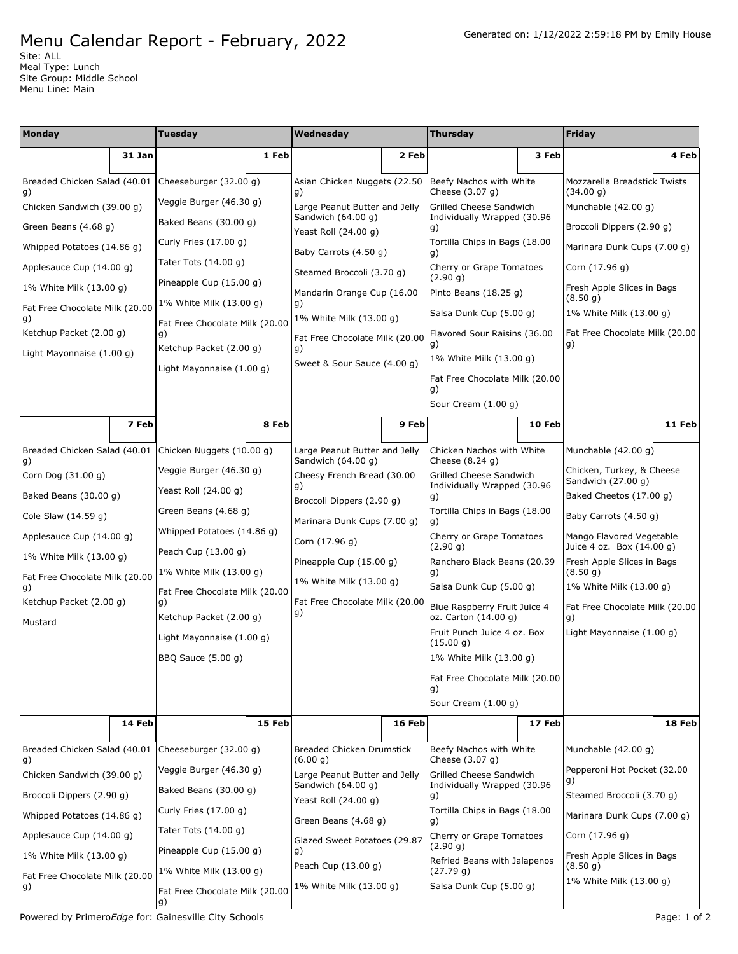Site: ALL Meal Type: Lunch Site Group: Middle School Menu Line: Main

| <b>Monday</b>                      |        | <b>Tuesday</b>                       |        | Wednesday                                           |        | <b>Thursday</b>                                      |        | <b>Friday</b>                                           |        |
|------------------------------------|--------|--------------------------------------|--------|-----------------------------------------------------|--------|------------------------------------------------------|--------|---------------------------------------------------------|--------|
|                                    | 31 Jan |                                      | 1 Feb  |                                                     | 2 Feb  |                                                      | 3 Feb  |                                                         | 4 Feb  |
| Breaded Chicken Salad (40.01<br>g) |        | Cheeseburger (32.00 g)               |        | Asian Chicken Nuggets (22.50)<br>g)                 |        | Beefy Nachos with White<br>Cheese (3.07 g)           |        | Mozzarella Breadstick Twists<br>(34.00 g)               |        |
| Chicken Sandwich (39.00 q)         |        | Veggie Burger (46.30 g)              |        | Large Peanut Butter and Jelly                       |        | Grilled Cheese Sandwich                              |        | Munchable (42.00 g)                                     |        |
| Green Beans (4.68 g)               |        | Baked Beans (30.00 g)                |        | Sandwich (64.00 g)<br>Yeast Roll (24.00 g)          |        | Individually Wrapped (30.96<br>g)                    |        | Broccoli Dippers (2.90 g)                               |        |
| Whipped Potatoes (14.86 g)         |        | Curly Fries (17.00 g)                |        | Baby Carrots (4.50 g)                               |        | Tortilla Chips in Bags (18.00<br>g)                  |        | Marinara Dunk Cups (7.00 g)                             |        |
| Applesauce Cup (14.00 g)           |        | Tater Tots $(14.00 g)$               |        | Steamed Broccoli (3.70 g)                           |        | Cherry or Grape Tomatoes                             |        | Corn (17.96 g)                                          |        |
| 1% White Milk (13.00 g)            |        | Pineapple Cup (15.00 g)              |        | Mandarin Orange Cup (16.00                          |        | (2.90 q)<br>Pinto Beans $(18.25 g)$                  |        | Fresh Apple Slices in Bags                              |        |
| Fat Free Chocolate Milk (20.00     |        | 1% White Milk (13.00 g)              |        | g)                                                  |        | Salsa Dunk Cup (5.00 g)                              |        | (8.50 g)<br>1% White Milk (13.00 g)                     |        |
| g)<br>Ketchup Packet (2.00 g)      |        | Fat Free Chocolate Milk (20.00<br>g) |        | 1% White Milk (13.00 g)                             |        | Flavored Sour Raisins (36.00                         |        | Fat Free Chocolate Milk (20.00                          |        |
| Light Mayonnaise (1.00 g)          |        | Ketchup Packet (2.00 g)              |        | Fat Free Chocolate Milk (20.00<br>g)                |        | $\vert g)$                                           |        | g)                                                      |        |
|                                    |        | Light Mayonnaise (1.00 g)            |        | Sweet & Sour Sauce (4.00 g)                         |        | 1% White Milk (13.00 g)                              |        |                                                         |        |
|                                    |        |                                      |        |                                                     |        | Fat Free Chocolate Milk (20.00<br>g)                 |        |                                                         |        |
|                                    |        |                                      |        |                                                     |        | Sour Cream (1.00 g)                                  |        |                                                         |        |
|                                    | 7 Feb  |                                      | 8 Feb  |                                                     | 9 Feb  |                                                      | 10 Feb |                                                         | 11 Feb |
| Breaded Chicken Salad (40.01<br>g) |        | Chicken Nuggets (10.00 g)            |        | Large Peanut Butter and Jelly<br>Sandwich (64.00 g) |        | Chicken Nachos with White<br>Cheese (8.24 g)         |        | Munchable $(42.00 g)$                                   |        |
| Corn Dog (31.00 g)                 |        | Veggie Burger (46.30 g)              |        | Cheesy French Bread (30.00                          |        | Grilled Cheese Sandwich                              |        | Chicken, Turkey, & Cheese<br>Sandwich (27.00 g)         |        |
| Baked Beans (30.00 g)              |        | Yeast Roll (24.00 g)                 |        | g)<br>Broccoli Dippers (2.90 g)                     |        | Individually Wrapped (30.96<br>g)                    |        | Baked Cheetos (17.00 g)                                 |        |
| Cole Slaw (14.59 g)                |        | Green Beans (4.68 g)                 |        | Marinara Dunk Cups (7.00 g)                         |        | Tortilla Chips in Bags (18.00                        |        | Baby Carrots (4.50 g)                                   |        |
| Applesauce Cup (14.00 g)           |        | Whipped Potatoes (14.86 g)           |        | Corn (17.96 g)                                      |        | Cherry or Grape Tomatoes                             |        | Mango Flavored Vegetable                                |        |
| 1% White Milk (13.00 g)            |        | Peach Cup (13.00 g)                  |        | Pineapple Cup (15.00 g)                             |        | (2.90 g)<br>Ranchero Black Beans (20.39              |        | Juice 4 oz. Box (14.00 g)<br>Fresh Apple Slices in Bags |        |
| Fat Free Chocolate Milk (20.00     |        | 1% White Milk (13.00 g)              |        | 1% White Milk (13.00 g)                             |        | g)                                                   |        | (8.50 g)                                                |        |
| g)<br>Ketchup Packet (2.00 g)      |        | Fat Free Chocolate Milk (20.00<br>g) |        | Fat Free Chocolate Milk (20.00                      |        | Salsa Dunk Cup (5.00 g)                              |        | 1% White Milk (13.00 g)                                 |        |
| Mustard                            |        | Ketchup Packet (2.00 g)              |        | g)                                                  |        | Blue Raspberry Fruit Juice 4<br>oz. Carton (14.00 g) |        | Fat Free Chocolate Milk (20.00<br>g)                    |        |
|                                    |        | Light Mayonnaise (1.00 g)            |        |                                                     |        | Fruit Punch Juice 4 oz. Box<br>(15.00 g)             |        | Light Mayonnaise (1.00 g)                               |        |
|                                    |        | BBQ Sauce (5.00 g)                   |        |                                                     |        | 1% White Milk (13.00 g)                              |        |                                                         |        |
|                                    |        |                                      |        |                                                     |        | Fat Free Chocolate Milk (20.00<br>g)                 |        |                                                         |        |
|                                    |        |                                      |        |                                                     |        | Sour Cream (1.00 g)                                  |        |                                                         |        |
|                                    | 14 Feb |                                      | 15 Feb |                                                     | 16 Feb |                                                      | 17 Feb |                                                         | 18 Feb |
| Breaded Chicken Salad (40.01       |        | Cheeseburger (32.00 g)               |        | <b>Breaded Chicken Drumstick</b><br>(6.00 q)        |        | Beefy Nachos with White<br>Cheese (3.07 g)           |        | Munchable (42.00 g)                                     |        |
| g)<br>Chicken Sandwich (39.00 q)   |        | Veggie Burger (46.30 g)              |        | Large Peanut Butter and Jelly                       |        | Grilled Cheese Sandwich                              |        | Pepperoni Hot Pocket (32.00                             |        |
| Broccoli Dippers (2.90 g)          |        | Baked Beans (30.00 g)                |        | Sandwich (64.00 g)<br>Yeast Roll (24.00 g)          |        | Individually Wrapped (30.96<br>g)                    |        | g)<br>Steamed Broccoli (3.70 g)                         |        |
| Whipped Potatoes (14.86 g)         |        | Curly Fries (17.00 g)                |        | Green Beans (4.68 g)                                |        | Tortilla Chips in Bags (18.00<br>g)                  |        | Marinara Dunk Cups (7.00 g)                             |        |
| Applesauce Cup (14.00 g)           |        | Tater Tots (14.00 g)                 |        | Glazed Sweet Potatoes (29.87                        |        | Cherry or Grape Tomatoes                             |        | Corn (17.96 g)                                          |        |
| 1% White Milk (13.00 g)            |        | Pineapple Cup (15.00 g)              |        | g)                                                  |        | (2.90 g)<br>Refried Beans with Jalapenos             |        | Fresh Apple Slices in Bags                              |        |
| Fat Free Chocolate Milk (20.00     |        | 1% White Milk (13.00 g)              |        | Peach Cup (13.00 g)                                 |        | (27.79 g)                                            |        | (8.50 g)<br>1% White Milk (13.00 g)                     |        |
| g)                                 |        | Fat Free Chocolate Milk (20.00<br>g) |        | 1% White Milk (13.00 g)                             |        | Salsa Dunk Cup (5.00 g)                              |        |                                                         |        |

Powered by Primero*Edge* for: Gainesville City Schools **Page: 1** of 2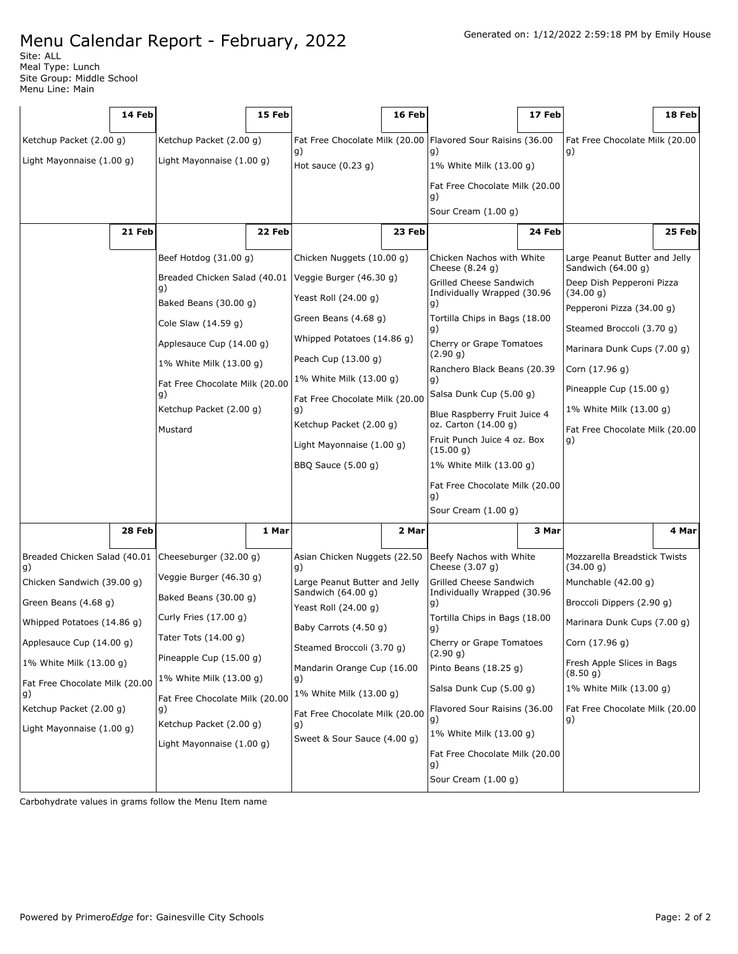Site: ALL Meal Type: Lunch Site Group: Middle School Menu Line: Main

|                                      | 14 Feb |                                                    | 15 Feb |                                                           | 16 Feb |                                                               | 17 Feb |                                                     | 18 Feb |
|--------------------------------------|--------|----------------------------------------------------|--------|-----------------------------------------------------------|--------|---------------------------------------------------------------|--------|-----------------------------------------------------|--------|
| Ketchup Packet (2.00 g)              |        | Ketchup Packet (2.00 g)                            |        |                                                           |        | Fat Free Chocolate Milk (20.00   Flavored Sour Raisins (36.00 |        | Fat Free Chocolate Milk (20.00                      |        |
| Light Mayonnaise (1.00 g)            |        | Light Mayonnaise (1.00 g)                          |        | g)<br>Hot sauce $(0.23 g)$                                |        | g)<br>1% White Milk (13.00 g)                                 |        | g)                                                  |        |
|                                      |        |                                                    |        |                                                           |        | Fat Free Chocolate Milk (20.00<br>g)                          |        |                                                     |        |
|                                      |        |                                                    |        |                                                           |        | Sour Cream (1.00 g)                                           | 24 Feb |                                                     |        |
|                                      | 21 Feb |                                                    | 22 Feb |                                                           | 23 Feb |                                                               |        |                                                     | 25 Feb |
|                                      |        | Beef Hotdog (31.00 g)                              |        | Chicken Nuggets (10.00 g)                                 |        | Chicken Nachos with White<br>Cheese $(8.24 g)$                |        | Large Peanut Butter and Jelly<br>Sandwich (64.00 g) |        |
|                                      |        | Breaded Chicken Salad (40.01<br>g)                 |        | Veggie Burger (46.30 g)                                   |        | Grilled Cheese Sandwich<br>Individually Wrapped (30.96        |        | Deep Dish Pepperoni Pizza<br>(34.00 g)              |        |
|                                      |        | Baked Beans (30.00 g)                              |        | Yeast Roll (24.00 g)                                      |        | g)                                                            |        | Pepperoni Pizza (34.00 g)                           |        |
|                                      |        | Cole Slaw (14.59 g)                                |        | Green Beans (4.68 g)                                      |        | Tortilla Chips in Bags (18.00<br>g)                           |        | Steamed Broccoli (3.70 g)                           |        |
|                                      |        | Applesauce Cup (14.00 g)                           |        | Whipped Potatoes (14.86 g)                                |        | Cherry or Grape Tomatoes<br>(2.90 g)                          |        | Marinara Dunk Cups (7.00 g)                         |        |
|                                      |        | 1% White Milk (13.00 g)                            |        | Peach Cup (13.00 g)                                       |        | Ranchero Black Beans (20.39                                   |        | Corn (17.96 g)                                      |        |
|                                      |        | Fat Free Chocolate Milk (20.00<br>q)               |        | 1% White Milk (13.00 g)<br>Fat Free Chocolate Milk (20.00 |        | g)<br>Salsa Dunk Cup (5.00 g)                                 |        | Pineapple Cup (15.00 g)                             |        |
|                                      |        | Ketchup Packet (2.00 g)                            |        | g)                                                        |        | Blue Raspberry Fruit Juice 4                                  |        | 1% White Milk (13.00 g)                             |        |
| Mustard                              |        |                                                    |        | Ketchup Packet (2.00 g)                                   |        | oz. Carton (14.00 g)<br>Fruit Punch Juice 4 oz. Box           |        | Fat Free Chocolate Milk (20.00<br>g)                |        |
|                                      |        |                                                    |        | Light Mayonnaise (1.00 g)                                 |        | (15.00 g)                                                     |        |                                                     |        |
|                                      |        |                                                    |        | BBQ Sauce (5.00 g)                                        |        | 1% White Milk (13.00 g)<br>Fat Free Chocolate Milk (20.00     |        |                                                     |        |
|                                      |        |                                                    |        |                                                           |        | g)                                                            |        |                                                     |        |
|                                      |        |                                                    |        |                                                           |        | Sour Cream (1.00 g)                                           |        |                                                     |        |
|                                      | 28 Feb |                                                    | 1 Mar  |                                                           | 2 Mar  |                                                               | 3 Mar  |                                                     | 4 Marl |
| Breaded Chicken Salad (40.01<br>g)   |        | Cheeseburger (32.00 g)                             |        | Asian Chicken Nuggets (22.50<br>g)                        |        | Beefy Nachos with White<br>Cheese $(3.07 g)$                  |        | Mozzarella Breadstick Twists<br>(34.00 g)           |        |
| Chicken Sandwich (39.00 q)           |        | Veggie Burger (46.30 g)                            |        | Large Peanut Butter and Jelly<br>Sandwich (64.00 g)       |        | Grilled Cheese Sandwich<br>Individually Wrapped (30.96        |        | Munchable (42.00 g)                                 |        |
| Green Beans (4.68 g)                 |        | Baked Beans (30.00 g)                              |        | Yeast Roll (24.00 g)                                      |        | g)                                                            |        | Broccoli Dippers (2.90 g)                           |        |
| Whipped Potatoes (14.86 g)           |        | Curly Fries (17.00 g)                              |        | Baby Carrots (4.50 g)                                     |        | Tortilla Chips in Bags (18.00<br>g)                           |        | Marinara Dunk Cups (7.00 g)                         |        |
| Applesauce Cup (14.00 g)             |        | Tater Tots $(14.00 g)$                             |        | Steamed Broccoli (3.70 g)                                 |        | Cherry or Grape Tomatoes<br>(2.90 g)                          |        | Corn (17.96 g)                                      |        |
| 1% White Milk (13.00 g)              |        | Pineapple Cup (15.00 g)<br>1% White Milk (13.00 g) |        | Mandarin Orange Cup (16.00                                |        | Pinto Beans (18.25 g)                                         |        | Fresh Apple Slices in Bags<br>(8.50 g)              |        |
| Fat Free Chocolate Milk (20.00<br>g) |        | Fat Free Chocolate Milk (20.00                     |        | g)<br>1% White Milk (13.00 g)                             |        | Salsa Dunk Cup (5.00 g)                                       |        | 1% White Milk (13.00 g)                             |        |
| Ketchup Packet (2.00 g)              |        | g)                                                 |        | Fat Free Chocolate Milk (20.00                            |        | Flavored Sour Raisins (36.00<br>g)                            |        | Fat Free Chocolate Milk (20.00<br>g)                |        |
| Light Mayonnaise (1.00 g)            |        | Ketchup Packet (2.00 g)                            |        | g)<br>Sweet & Sour Sauce (4.00 g)                         |        | 1% White Milk (13.00 g)                                       |        |                                                     |        |
|                                      |        | Light Mayonnaise (1.00 g)                          |        |                                                           |        | Fat Free Chocolate Milk (20.00                                |        |                                                     |        |
|                                      |        |                                                    |        |                                                           |        | g)<br>Sour Cream (1.00 g)                                     |        |                                                     |        |
|                                      |        |                                                    |        |                                                           |        |                                                               |        |                                                     |        |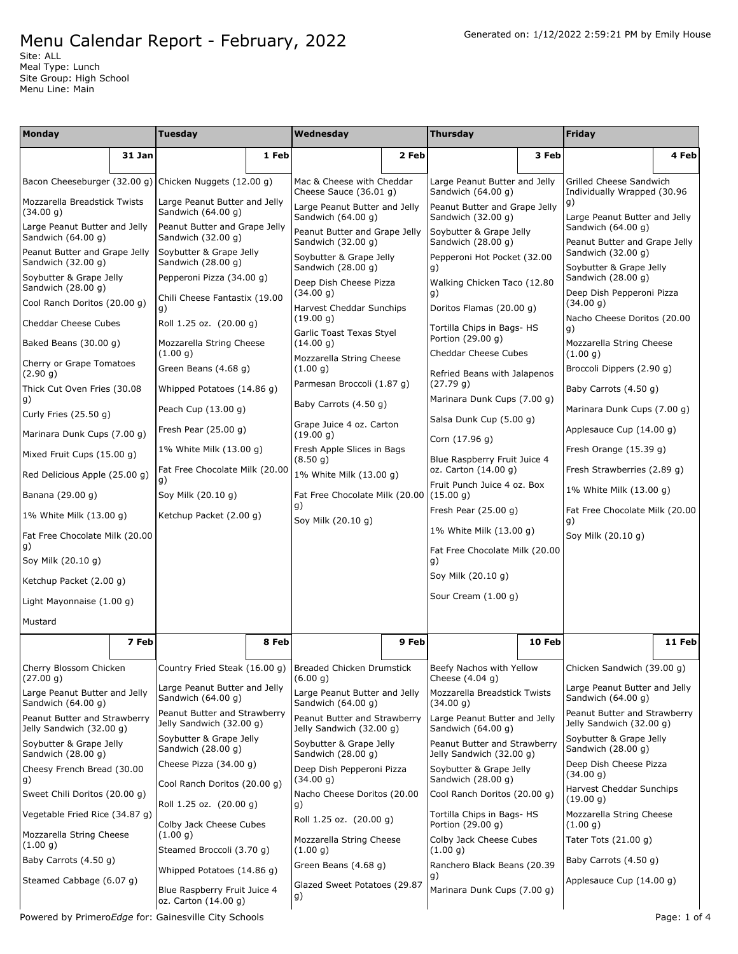Site: ALL Meal Type: Lunch Site Group: High School Menu Line: Main

| Monday                                                   |        | <b>Tuesday</b>                                           |       | Wednesday                                                |       | <b>Thursday</b>                                          |        | Friday                                                   |        |
|----------------------------------------------------------|--------|----------------------------------------------------------|-------|----------------------------------------------------------|-------|----------------------------------------------------------|--------|----------------------------------------------------------|--------|
|                                                          | 31 Jan |                                                          | 1 Feb |                                                          | 2 Feb |                                                          | 3 Feb  |                                                          | 4 Feb  |
|                                                          |        | Bacon Cheeseburger (32.00 g) Chicken Nuggets (12.00 g)   |       | Mac & Cheese with Cheddar<br>Cheese Sauce (36.01 g)      |       | Large Peanut Butter and Jelly<br>Sandwich (64.00 g)      |        | Grilled Cheese Sandwich<br>Individually Wrapped (30.96   |        |
| Mozzarella Breadstick Twists<br>(34.00 g)                |        | Large Peanut Butter and Jelly<br>Sandwich (64.00 g)      |       | Large Peanut Butter and Jelly<br>Sandwich (64.00 g)      |       | Peanut Butter and Grape Jelly<br>Sandwich (32.00 g)      |        | g)<br>Large Peanut Butter and Jelly                      |        |
| Large Peanut Butter and Jelly<br>Sandwich (64.00 g)      |        | Peanut Butter and Grape Jelly<br>Sandwich (32.00 g)      |       | Peanut Butter and Grape Jelly<br>Sandwich (32.00 g)      |       | Soybutter & Grape Jelly<br>Sandwich (28.00 g)            |        | Sandwich (64.00 g)<br>Peanut Butter and Grape Jelly      |        |
| Peanut Butter and Grape Jelly<br>Sandwich (32.00 g)      |        | Soybutter & Grape Jelly<br>Sandwich (28.00 g)            |       | Soybutter & Grape Jelly<br>Sandwich (28.00 g)            |       | Pepperoni Hot Pocket (32.00<br>g)                        |        | Sandwich (32.00 g)<br>Soybutter & Grape Jelly            |        |
| Soybutter & Grape Jelly<br>Sandwich (28.00 g)            |        | Pepperoni Pizza (34.00 g)                                |       | Deep Dish Cheese Pizza<br>(34.00 g)                      |       | Walking Chicken Taco (12.80<br>g)                        |        | Sandwich (28.00 g)<br>Deep Dish Pepperoni Pizza          |        |
| Cool Ranch Doritos (20.00 g)                             |        | Chili Cheese Fantastix (19.00<br>g)                      |       | <b>Harvest Cheddar Sunchips</b><br>(19.00 g)             |       | Doritos Flamas (20.00 g)                                 |        | (34.00 g)<br>Nacho Cheese Doritos (20.00                 |        |
| Cheddar Cheese Cubes                                     |        | Roll 1.25 oz. (20.00 g)                                  |       | Garlic Toast Texas Styel                                 |       | Tortilla Chips in Bags- HS<br>Portion (29.00 g)          |        | q)                                                       |        |
| Baked Beans (30.00 g)                                    |        | Mozzarella String Cheese<br>(1.00 g)                     |       | (14.00 g)<br>Mozzarella String Cheese                    |       | Cheddar Cheese Cubes                                     |        | Mozzarella String Cheese<br>(1.00 g)                     |        |
| Cherry or Grape Tomatoes<br>(2.90 g)                     |        | Green Beans (4.68 g)                                     |       | (1.00 q)                                                 |       | Refried Beans with Jalapenos                             |        | Broccoli Dippers (2.90 g)                                |        |
| Thick Cut Oven Fries (30.08<br>g)                        |        | Whipped Potatoes (14.86 g)                               |       | Parmesan Broccoli (1.87 g)<br>Baby Carrots (4.50 g)      |       | (27.79 g)<br>Marinara Dunk Cups (7.00 q)                 |        | Baby Carrots (4.50 g)                                    |        |
| Curly Fries $(25.50 g)$                                  |        | Peach Cup (13.00 g)                                      |       | Grape Juice 4 oz. Carton                                 |       | Salsa Dunk Cup (5.00 g)                                  |        | Marinara Dunk Cups (7.00 g)                              |        |
| Marinara Dunk Cups (7.00 q)                              |        | Fresh Pear $(25.00 g)$                                   |       | (19.00 g)                                                |       | Corn (17.96 g)                                           |        | Applesauce Cup (14.00 g)                                 |        |
| Mixed Fruit Cups (15.00 g)                               |        | 1% White Milk (13.00 g)                                  |       | Fresh Apple Slices in Bags<br>(8.50 g)                   |       | Blue Raspberry Fruit Juice 4                             |        | Fresh Orange (15.39 g)                                   |        |
| Red Delicious Apple (25.00 g)                            |        | Fat Free Chocolate Milk (20.00<br>g)                     |       | 1% White Milk (13.00 g)                                  |       | oz. Carton (14.00 g)<br>Fruit Punch Juice 4 oz. Box      |        | Fresh Strawberries (2.89 g)<br>1% White Milk (13.00 g)   |        |
| Banana (29.00 g)                                         |        | Soy Milk (20.10 g)                                       |       | Fat Free Chocolate Milk (20.00<br>g)                     |       | (15.00 g)<br>Fresh Pear $(25.00 g)$                      |        | Fat Free Chocolate Milk (20.00                           |        |
| 1% White Milk (13.00 g)                                  |        | Ketchup Packet (2.00 g)                                  |       | Soy Milk (20.10 g)                                       |       | 1% White Milk (13.00 g)                                  |        | g)                                                       |        |
| Fat Free Chocolate Milk (20.00<br>g)                     |        |                                                          |       |                                                          |       | Fat Free Chocolate Milk (20.00                           |        | Soy Milk (20.10 g)                                       |        |
| Soy Milk (20.10 g)                                       |        |                                                          |       |                                                          |       | g)                                                       |        |                                                          |        |
| Ketchup Packet (2.00 g)                                  |        |                                                          |       |                                                          |       | Soy Milk (20.10 g)<br>Sour Cream (1.00 g)                |        |                                                          |        |
| Light Mayonnaise (1.00 g)                                |        |                                                          |       |                                                          |       |                                                          |        |                                                          |        |
| Mustard                                                  |        |                                                          |       |                                                          |       |                                                          |        |                                                          |        |
|                                                          | 7 Feb  |                                                          | 8 Feb |                                                          | 9 Feb |                                                          | 10 Feb |                                                          | 11 Feb |
| Cherry Blossom Chicken<br>(27.00 g)                      |        | Country Fried Steak (16.00 g)                            |       | <b>Breaded Chicken Drumstick</b><br>(6.00 g)             |       | Beefy Nachos with Yellow<br>Cheese $(4.04 g)$            |        | Chicken Sandwich (39.00 g)                               |        |
| Large Peanut Butter and Jelly<br>Sandwich (64.00 g)      |        | Large Peanut Butter and Jelly<br>Sandwich (64.00 g)      |       | Large Peanut Butter and Jelly<br>Sandwich (64.00 g)      |       | Mozzarella Breadstick Twists<br>(34.00 g)                |        | Large Peanut Butter and Jelly<br>Sandwich (64.00 g)      |        |
| Peanut Butter and Strawberry<br>Jelly Sandwich (32.00 g) |        | Peanut Butter and Strawberry<br>Jelly Sandwich (32.00 g) |       | Peanut Butter and Strawberry<br>Jelly Sandwich (32.00 g) |       | Large Peanut Butter and Jelly<br>Sandwich (64.00 g)      |        | Peanut Butter and Strawberry<br>Jelly Sandwich (32.00 g) |        |
| Soybutter & Grape Jelly<br>Sandwich (28.00 g)            |        | Soybutter & Grape Jelly<br>Sandwich (28.00 g)            |       | Soybutter & Grape Jelly<br>Sandwich (28.00 g)            |       | Peanut Butter and Strawberry<br>Jelly Sandwich (32.00 g) |        | Soybutter & Grape Jelly<br>Sandwich (28.00 g)            |        |
| Cheesy French Bread (30.00<br>g)                         |        | Cheese Pizza (34.00 g)                                   |       | Deep Dish Pepperoni Pizza<br>(34.00 g)                   |       | Soybutter & Grape Jelly<br>Sandwich (28.00 g)            |        | Deep Dish Cheese Pizza<br>(34.00 g)                      |        |
| Sweet Chili Doritos (20.00 q)                            |        | Cool Ranch Doritos (20.00 g)                             |       | Nacho Cheese Doritos (20.00                              |       | Cool Ranch Doritos (20.00 g)                             |        | Harvest Cheddar Sunchips<br>(19.00 g)                    |        |
| Vegetable Fried Rice (34.87 g)                           |        | Roll 1.25 oz. (20.00 g)<br>Colby Jack Cheese Cubes       |       | g)<br>Roll 1.25 oz. (20.00 g)                            |       | Tortilla Chips in Bags- HS<br>Portion (29.00 g)          |        | Mozzarella String Cheese                                 |        |
| Mozzarella String Cheese<br>(1.00 g)                     |        | (1.00 g)                                                 |       | Mozzarella String Cheese                                 |       | Colby Jack Cheese Cubes                                  |        | (1.00 g)<br>Tater Tots (21.00 g)                         |        |
| Baby Carrots (4.50 g)                                    |        | Steamed Broccoli (3.70 g)<br>Whipped Potatoes (14.86 g)  |       | (1.00 g)<br>Green Beans (4.68 g)                         |       | (1.00 g)<br>Ranchero Black Beans (20.39                  |        | Baby Carrots (4.50 g)                                    |        |
| Steamed Cabbage (6.07 g)                                 |        | Blue Raspberry Fruit Juice 4<br>oz. Carton (14.00 g)     |       | Glazed Sweet Potatoes (29.87<br> g)                      |       | g)<br>Marinara Dunk Cups (7.00 g)                        |        | Applesauce Cup (14.00 g)                                 |        |

Powered by Primero*Edge* for: Gainesville City Schools **Page: 1 of 4** Powered by Primero*Edge* for: Gainesville City Schools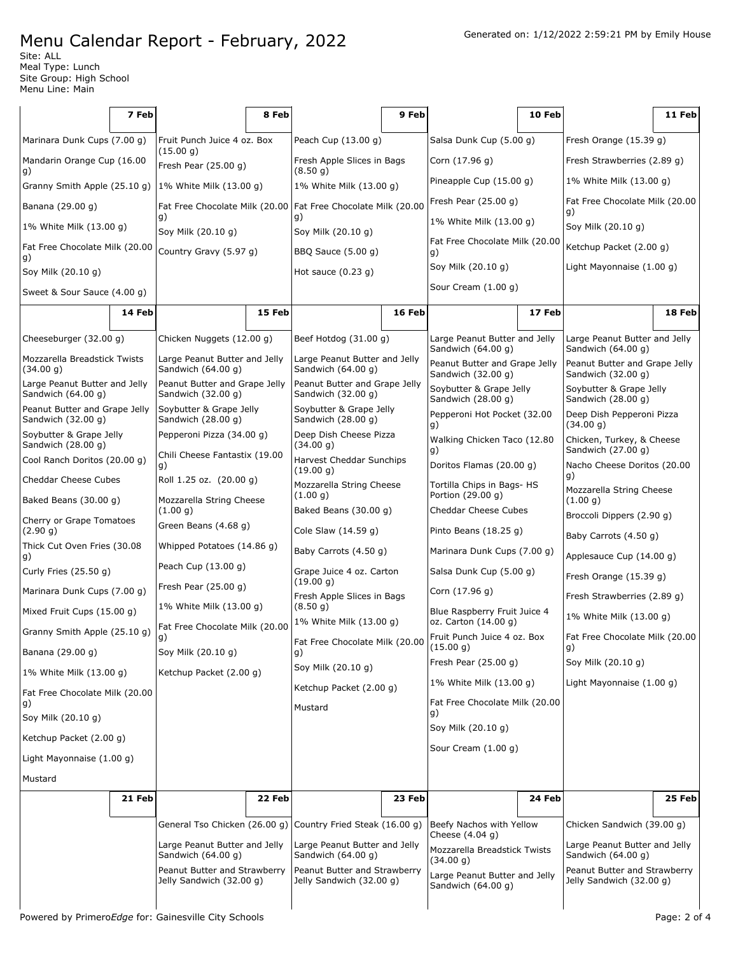Site: ALL Meal Type: Lunch Site Group: High School Menu Line: Main

|                                                     | 7 Feb  |                                                               | 8 Feb  |                                                          | 9 Feb  |                                                      | 10 Feb |                                                          | 11 Feb |
|-----------------------------------------------------|--------|---------------------------------------------------------------|--------|----------------------------------------------------------|--------|------------------------------------------------------|--------|----------------------------------------------------------|--------|
| Marinara Dunk Cups (7.00 g)                         |        | Fruit Punch Juice 4 oz. Box                                   |        | Peach Cup (13.00 g)                                      |        | Salsa Dunk Cup (5.00 q)                              |        | Fresh Orange $(15.39 g)$                                 |        |
| Mandarin Orange Cup (16.00                          |        | (15.00 g)<br>Fresh Pear $(25.00 g)$                           |        | Fresh Apple Slices in Bags                               |        | Corn (17.96 g)                                       |        | Fresh Strawberries (2.89 g)                              |        |
| g)<br>Granny Smith Apple (25.10 g)                  |        | 1% White Milk (13.00 g)                                       |        | (8.50 g)<br>1% White Milk (13.00 g)                      |        | Pineapple Cup (15.00 g)                              |        | 1% White Milk (13.00 g)                                  |        |
| Banana (29.00 g)                                    |        | Fat Free Chocolate Milk (20.00 Fat Free Chocolate Milk (20.00 |        |                                                          |        | Fresh Pear $(25.00 g)$                               |        | Fat Free Chocolate Milk (20.00<br>g)                     |        |
| 1% White Milk (13.00 g)                             |        | g)<br>Soy Milk (20.10 g)                                      |        | g)<br>Soy Milk (20.10 g)                                 |        | 1% White Milk (13.00 g)                              |        | Soy Milk (20.10 g)                                       |        |
| Fat Free Chocolate Milk (20.00                      |        | Country Gravy (5.97 g)                                        |        | BBQ Sauce (5.00 g)                                       |        | Fat Free Chocolate Milk (20.00<br>g)                 |        | Ketchup Packet (2.00 g)                                  |        |
| g)<br>Soy Milk (20.10 g)                            |        |                                                               |        | Hot sauce $(0.23 g)$                                     |        | Soy Milk (20.10 g)                                   |        | Light Mayonnaise (1.00 g)                                |        |
| Sweet & Sour Sauce (4.00 g)                         |        |                                                               |        |                                                          |        | Sour Cream (1.00 g)                                  |        |                                                          |        |
|                                                     | 14 Feb |                                                               | 15 Feb |                                                          | 16 Feb |                                                      | 17 Feb |                                                          | 18 Feb |
| Cheeseburger (32.00 g)                              |        | Chicken Nuggets (12.00 g)                                     |        | Beef Hotdog $(31.00 g)$                                  |        | Large Peanut Butter and Jelly                        |        | Large Peanut Butter and Jelly                            |        |
| Mozzarella Breadstick Twists                        |        | Large Peanut Butter and Jelly                                 |        | Large Peanut Butter and Jelly                            |        | Sandwich (64.00 g)<br>Peanut Butter and Grape Jelly  |        | Sandwich (64.00 g)<br>Peanut Butter and Grape Jelly      |        |
| (34.00 g)<br>Large Peanut Butter and Jelly          |        | Sandwich (64.00 g)<br>Peanut Butter and Grape Jelly           |        | Sandwich (64.00 g)<br>Peanut Butter and Grape Jelly      |        | Sandwich (32.00 g)<br>Sandwich (32.00 g)             |        |                                                          |        |
| Sandwich (64.00 g)                                  |        | Sandwich (32.00 g)                                            |        | Sandwich (32.00 g)                                       |        | Soybutter & Grape Jelly<br>Sandwich (28.00 g)        |        | Soybutter & Grape Jelly<br>Sandwich (28.00 g)            |        |
| Peanut Butter and Grape Jelly<br>Sandwich (32.00 g) |        | Soybutter & Grape Jelly<br>Sandwich (28.00 g)                 |        | Soybutter & Grape Jelly<br>Sandwich (28.00 g)            |        | Pepperoni Hot Pocket (32.00<br>g)                    |        | Deep Dish Pepperoni Pizza<br>(34.00 g)                   |        |
| Soybutter & Grape Jelly<br>Sandwich (28.00 g)       |        | Pepperoni Pizza (34.00 g)                                     |        | Deep Dish Cheese Pizza<br>(34.00 g)                      |        | Walking Chicken Taco (12.80                          |        | Chicken, Turkey, & Cheese<br>Sandwich (27.00 g)          |        |
| Cool Ranch Doritos (20.00 g)                        |        | Chili Cheese Fantastix (19.00<br>g)                           |        | Harvest Cheddar Sunchips<br>(19.00 g)                    |        | g)<br>Doritos Flamas (20.00 g)                       |        | Nacho Cheese Doritos (20.00                              |        |
| Cheddar Cheese Cubes                                |        | Roll 1.25 oz. (20.00 g)                                       |        | Mozzarella String Cheese                                 |        | Tortilla Chips in Bags- HS<br>Portion (29.00 g)      |        | g)<br>Mozzarella String Cheese                           |        |
| Baked Beans (30.00 g)                               |        | Mozzarella String Cheese<br>(1.00 g)                          |        | (1.00 g)<br>Baked Beans (30.00 g)                        |        | Cheddar Cheese Cubes                                 |        | (1.00 g)                                                 |        |
| Cherry or Grape Tomatoes<br>(2.90 g)                |        | Green Beans (4.68 g)                                          |        | Cole Slaw (14.59 g)                                      |        | Pinto Beans $(18.25 g)$                              |        | Broccoli Dippers (2.90 g)<br>Baby Carrots (4.50 g)       |        |
| Thick Cut Oven Fries (30.08<br>g)                   |        | Whipped Potatoes (14.86 g)                                    |        | Baby Carrots (4.50 g)                                    |        | Marinara Dunk Cups (7.00 g)                          |        | Applesauce Cup (14.00 g)                                 |        |
| Curly Fries (25.50 g)                               |        | Peach Cup (13.00 g)                                           |        | Grape Juice 4 oz. Carton                                 |        | Salsa Dunk Cup (5.00 g)                              |        | Fresh Orange (15.39 g)                                   |        |
| Marinara Dunk Cups (7.00 g)                         |        | Fresh Pear $(25.00 g)$                                        |        | (19.00 g)<br>Fresh Apple Slices in Bags                  |        | Corn (17.96 g)                                       |        | Fresh Strawberries (2.89 g)                              |        |
| Mixed Fruit Cups (15.00 g)                          |        | 1% White Milk (13.00 g)                                       |        | (8.50 g)<br>1% White Milk (13.00 q)                      |        | Blue Raspberry Fruit Juice 4<br>oz. Carton (14.00 g) |        | 1% White Milk (13.00 g)                                  |        |
| Granny Smith Apple (25.10 g)                        |        | Fat Free Chocolate Milk (20.00<br>g)                          |        | Fat Free Chocolate Milk (20.00                           |        | Fruit Punch Juice 4 oz. Box                          |        | Fat Free Chocolate Milk (20.00                           |        |
| Banana (29.00 g)                                    |        | Soy Milk (20.10 g)                                            |        | g)                                                       |        | (15.00 g)<br>Fresh Pear $(25.00 g)$                  |        | 9)<br>Soy Milk (20.10 g)                                 |        |
| 1% White Milk (13.00 g)                             |        | Ketchup Packet (2.00 g)                                       |        | Soy Milk (20.10 g)                                       |        | 1% White Milk (13.00 q)                              |        | Light Mayonnaise (1.00 g)                                |        |
| Fat Free Chocolate Milk (20.00<br>g)                |        |                                                               |        | Ketchup Packet (2.00 g)<br>Mustard                       |        | Fat Free Chocolate Milk (20.00                       |        |                                                          |        |
| Soy Milk (20.10 g)                                  |        |                                                               |        |                                                          |        | g)<br>Soy Milk (20.10 g)                             |        |                                                          |        |
| Ketchup Packet (2.00 g)                             |        |                                                               |        |                                                          |        | Sour Cream (1.00 g)                                  |        |                                                          |        |
| Light Mayonnaise (1.00 g)                           |        |                                                               |        |                                                          |        |                                                      |        |                                                          |        |
| Mustard                                             |        |                                                               |        |                                                          |        |                                                      |        |                                                          |        |
|                                                     | 21 Feb |                                                               | 22 Feb |                                                          | 23 Feb |                                                      | 24 Feb |                                                          | 25 Feb |
|                                                     |        | General Tso Chicken (26.00 g)                                 |        | Country Fried Steak (16.00 g)                            |        | Beefy Nachos with Yellow<br>Cheese (4.04 g)          |        | Chicken Sandwich (39.00 g)                               |        |
|                                                     |        | Large Peanut Butter and Jelly<br>Sandwich (64.00 g)           |        | Large Peanut Butter and Jelly<br>Sandwich (64.00 g)      |        | Mozzarella Breadstick Twists                         |        | Large Peanut Butter and Jelly<br>Sandwich (64.00 g)      |        |
|                                                     |        | Peanut Butter and Strawberry<br>Jelly Sandwich (32.00 g)      |        | Peanut Butter and Strawberry<br>Jelly Sandwich (32.00 g) |        | (34.00 g)<br>Large Peanut Butter and Jelly           |        | Peanut Butter and Strawberry<br>Jelly Sandwich (32.00 g) |        |
|                                                     |        |                                                               |        |                                                          |        | Sandwich (64.00 g)                                   |        |                                                          |        |
|                                                     |        |                                                               |        |                                                          |        |                                                      |        |                                                          |        |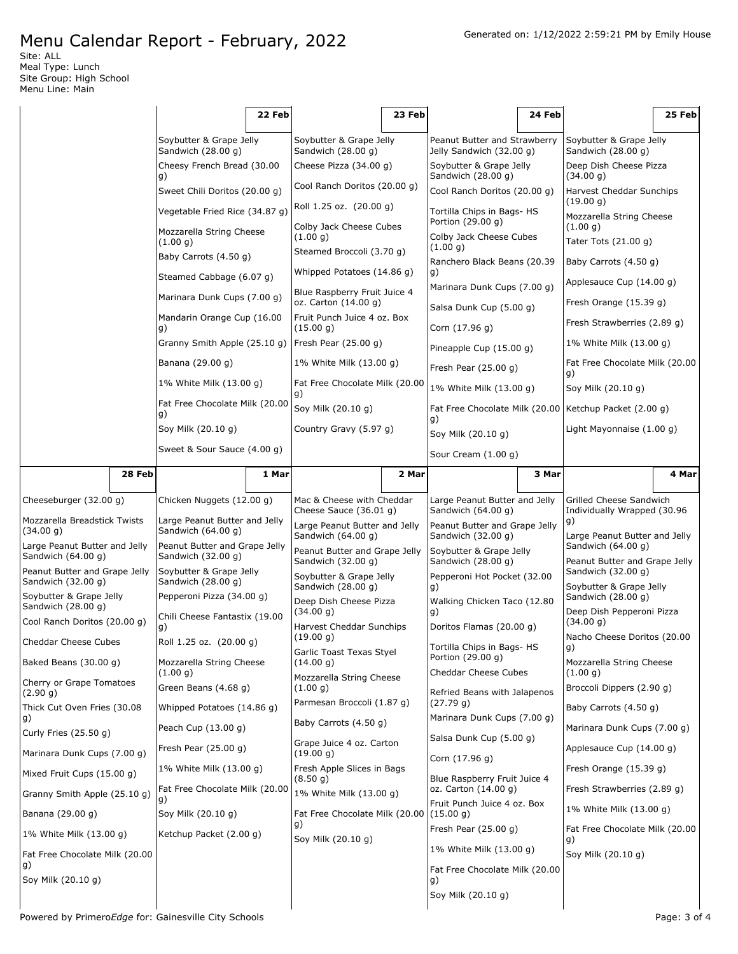Site: ALL Meal Type: Lunch Site Group: High School Menu Line: Main

|                                                     |        |                                                     | 22 Feb |                                                      | 23 Feb |                                                                | 24 Feb |                                                        | 25 Feb |
|-----------------------------------------------------|--------|-----------------------------------------------------|--------|------------------------------------------------------|--------|----------------------------------------------------------------|--------|--------------------------------------------------------|--------|
|                                                     |        | Soybutter & Grape Jelly<br>Sandwich (28.00 g)       |        | Soybutter & Grape Jelly<br>Sandwich (28.00 g)        |        | Peanut Butter and Strawberry<br>Jelly Sandwich (32.00 g)       |        | Soybutter & Grape Jelly<br>Sandwich (28.00 g)          |        |
|                                                     |        | Cheesy French Bread (30.00<br>g)                    |        | Cheese Pizza (34.00 g)                               |        | Soybutter & Grape Jelly<br>Sandwich (28.00 g)                  |        | Deep Dish Cheese Pizza<br>(34.00 g)                    |        |
|                                                     |        | Sweet Chili Doritos (20.00 g)                       |        | Cool Ranch Doritos (20.00 g)                         |        | Cool Ranch Doritos (20.00 q)                                   |        | Harvest Cheddar Sunchips<br>(19.00 g)                  |        |
|                                                     |        | Vegetable Fried Rice (34.87 g)                      |        | Roll 1.25 oz. (20.00 g)<br>Colby Jack Cheese Cubes   |        | Tortilla Chips in Bags- HS<br>Portion (29.00 g)                |        | Mozzarella String Cheese<br>(1.00 g)                   |        |
|                                                     |        | Mozzarella String Cheese<br>(1.00 q)                |        | (1.00 g)                                             |        | Colby Jack Cheese Cubes<br>(1.00 g)                            |        | Tater Tots $(21.00 g)$                                 |        |
|                                                     |        | Baby Carrots (4.50 g)                               |        | Steamed Broccoli (3.70 g)                            |        | Ranchero Black Beans (20.39                                    |        | Baby Carrots (4.50 g)                                  |        |
|                                                     |        | Steamed Cabbage (6.07 g)                            |        | Whipped Potatoes (14.86 g)                           |        | g)<br>Marinara Dunk Cups (7.00 g)                              |        | Applesauce Cup (14.00 g)                               |        |
|                                                     |        | Marinara Dunk Cups (7.00 g)                         |        | Blue Raspberry Fruit Juice 4<br>oz. Carton (14.00 g) |        | Salsa Dunk Cup (5.00 g)                                        |        | Fresh Orange (15.39 g)                                 |        |
|                                                     |        | Mandarin Orange Cup (16.00<br>g)                    |        | Fruit Punch Juice 4 oz. Box<br>(15.00 g)             |        | Corn (17.96 g)                                                 |        | Fresh Strawberries (2.89 g)                            |        |
|                                                     |        | Granny Smith Apple (25.10 g)                        |        | Fresh Pear $(25.00 g)$                               |        | Pineapple Cup (15.00 g)                                        |        | 1% White Milk (13.00 g)                                |        |
|                                                     |        | Banana (29.00 g)                                    |        | 1% White Milk (13.00 g)                              |        | Fresh Pear (25.00 g)                                           |        | Fat Free Chocolate Milk (20.00<br>g)                   |        |
|                                                     |        | 1% White Milk (13.00 g)                             |        | Fat Free Chocolate Milk (20.00<br>g)                 |        | 1% White Milk (13.00 g)                                        |        | Soy Milk (20.10 g)                                     |        |
|                                                     |        | Fat Free Chocolate Milk (20.00<br>g)                |        | Soy Milk (20.10 g)                                   |        | Fat Free Chocolate Milk (20.00   Ketchup Packet (2.00 g)<br>g) |        |                                                        |        |
|                                                     |        | Soy Milk (20.10 g)                                  |        | Country Gravy (5.97 g)                               |        | Soy Milk (20.10 g)                                             |        | Light Mayonnaise (1.00 g)                              |        |
|                                                     |        | Sweet & Sour Sauce (4.00 g)                         |        |                                                      |        | Sour Cream (1.00 g)                                            |        |                                                        |        |
|                                                     | 28 Feb |                                                     | 1 Mar  |                                                      | 2 Mar  |                                                                | 3 Mar  |                                                        | 4 Mar  |
| Cheeseburger (32.00 g)                              |        | Chicken Nuggets (12.00 g)                           |        | Mac & Cheese with Cheddar<br>Cheese Sauce (36.01 g)  |        | Large Peanut Butter and Jelly<br>Sandwich (64.00 g)            |        | Grilled Cheese Sandwich<br>Individually Wrapped (30.96 |        |
| Mozzarella Breadstick Twists<br>(34.00 g)           |        | Large Peanut Butter and Jelly<br>Sandwich (64.00 g) |        | Large Peanut Butter and Jelly<br>Sandwich (64.00 g)  |        | Peanut Butter and Grape Jelly<br>Sandwich (32.00 g)            |        | g)<br>Large Peanut Butter and Jelly                    |        |
| Large Peanut Butter and Jelly<br>Sandwich (64.00 g) |        | Peanut Butter and Grape Jelly<br>Sandwich (32.00 g) |        | Peanut Butter and Grape Jelly                        |        | Soybutter & Grape Jelly                                        |        | Sandwich (64.00 g)                                     |        |
| Peanut Butter and Grape Jelly<br>Sandwich (32.00 g) |        | Soybutter & Grape Jelly<br>Sandwich (28.00 g)       |        | Sandwich (32.00 g)<br>Soybutter & Grape Jelly        |        | Sandwich (28.00 g)<br>Pepperoni Hot Pocket (32.00              |        | Peanut Butter and Grape Jelly<br>Sandwich (32.00 g)    |        |
| Soybutter & Grape Jelly                             |        | Pepperoni Pizza (34.00 g)                           |        | Sandwich (28.00 g)<br>Deep Dish Cheese Pizza         |        | g)<br>Walking Chicken Taco (12.80                              |        | Soybutter & Grape Jelly<br>Sandwich (28.00 g)          |        |
| Sandwich (28.00 g)<br>Cool Ranch Doritos (20.00 g)  |        | Chili Cheese Fantastix (19.00<br>g)                 |        | (34.00 g)<br>Harvest Cheddar Sunchips                |        | g)<br>Doritos Flamas (20.00 g)                                 |        | Deep Dish Pepperoni Pizza<br>(34.00 g)                 |        |
| Cheddar Cheese Cubes                                |        | Roll 1.25 oz. (20.00 g)                             |        | (19.00 g)                                            |        | Tortilla Chips in Bags- HS                                     |        | Nacho Cheese Doritos (20.00                            |        |
| Baked Beans (30.00 g)                               |        | Mozzarella String Cheese                            |        | Garlic Toast Texas Styel<br>(14.00 g)                |        | Portion (29.00 g)                                              |        | Mozzarella String Cheese                               |        |
| Cherry or Grape Tomatoes<br>(2.90 g)                |        | (1.00 g)<br>Green Beans (4.68 g)                    |        | Mozzarella String Cheese<br>(1.00 g)                 |        | Cheddar Cheese Cubes<br>Refried Beans with Jalapenos           |        | (1.00 g)<br>Broccoli Dippers (2.90 g)                  |        |
| Thick Cut Oven Fries (30.08                         |        | Whipped Potatoes (14.86 g)                          |        | Parmesan Broccoli (1.87 g)                           |        | (27.79 g)                                                      |        | Baby Carrots (4.50 g)                                  |        |
| g)<br>Curly Fries (25.50 g)                         |        | Peach Cup (13.00 g)                                 |        | Baby Carrots (4.50 g)                                |        | Marinara Dunk Cups (7.00 g)                                    |        | Marinara Dunk Cups (7.00 g)                            |        |
| Marinara Dunk Cups (7.00 g)                         |        | Fresh Pear (25.00 g)                                |        | Grape Juice 4 oz. Carton<br>(19.00 g)                |        | Salsa Dunk Cup (5.00 g)<br>Corn (17.96 g)                      |        | Applesauce Cup (14.00 g)                               |        |
| Mixed Fruit Cups (15.00 g)                          |        | 1% White Milk (13.00 g)                             |        | Fresh Apple Slices in Bags                           |        |                                                                |        | Fresh Orange (15.39 g)                                 |        |
| Granny Smith Apple (25.10 g)                        |        | Fat Free Chocolate Milk (20.00                      |        | (8.50 g)<br>1% White Milk (13.00 g)                  |        | Blue Raspberry Fruit Juice 4<br>oz. Carton (14.00 g)           |        | Fresh Strawberries (2.89 g)                            |        |
| Banana (29.00 g)                                    |        | g)<br>Soy Milk (20.10 g)                            |        | Fat Free Chocolate Milk (20.00                       |        | Fruit Punch Juice 4 oz. Box<br>(15.00 q)                       |        | 1% White Milk (13.00 g)                                |        |
| 1% White Milk (13.00 g)                             |        | Ketchup Packet (2.00 g)                             |        | g)<br>Soy Milk (20.10 g)                             |        | Fresh Pear (25.00 g)                                           |        | Fat Free Chocolate Milk (20.00                         |        |
| Fat Free Chocolate Milk (20.00                      |        |                                                     |        |                                                      |        | 1% White Milk (13.00 g)                                        |        | g)<br>Soy Milk (20.10 g)                               |        |
| g)<br>Soy Milk (20.10 g)                            |        |                                                     |        |                                                      |        | Fat Free Chocolate Milk (20.00<br>g)                           |        |                                                        |        |
|                                                     |        |                                                     |        |                                                      |        | Soy Milk (20.10 g)                                             |        |                                                        |        |